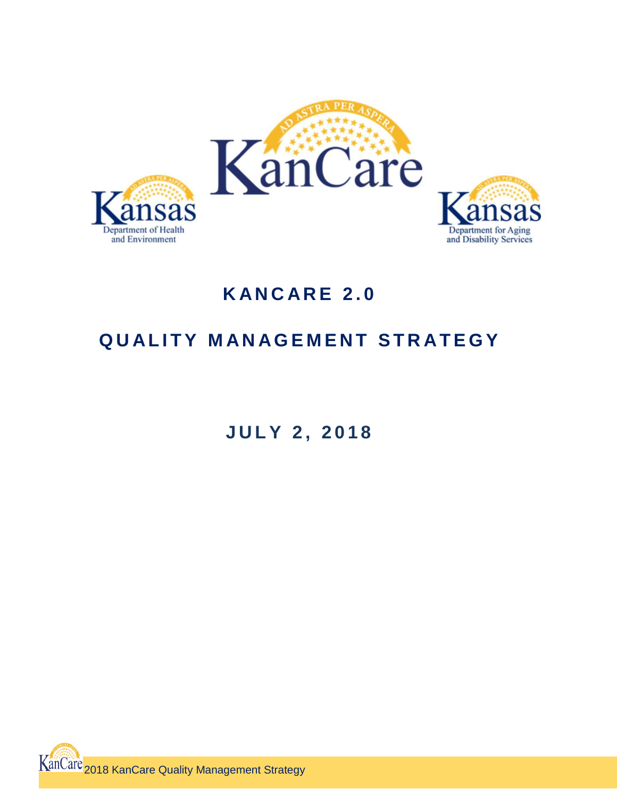

# **K A N C A R E 2 . 0**

## **QUALITY MANAGEMENT STRATEGY**

**J U L Y 2 , 2 0 1 8**

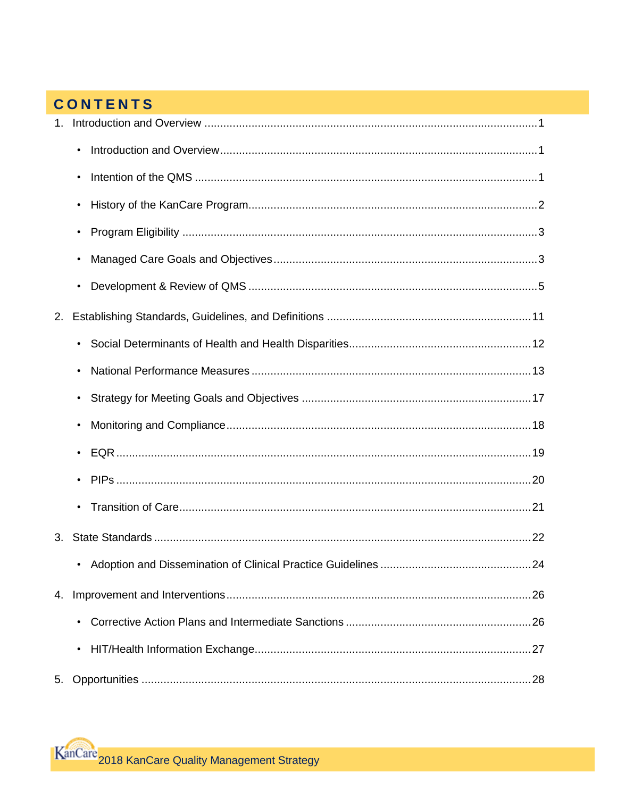## **CONTENTS**

| 1. |                                                                    |
|----|--------------------------------------------------------------------|
|    | $\bullet$                                                          |
|    |                                                                    |
|    |                                                                    |
|    | $\bullet$                                                          |
|    |                                                                    |
|    |                                                                    |
| 2. |                                                                    |
|    | $\bullet$                                                          |
|    |                                                                    |
|    |                                                                    |
|    |                                                                    |
|    |                                                                    |
|    |                                                                    |
|    | $\bullet$                                                          |
| 3. |                                                                    |
|    | • Adoption and Dissemination of Clinical Practice Guidelines<br>24 |
| 4. |                                                                    |
|    |                                                                    |
|    |                                                                    |
| 5. |                                                                    |

KanCare 2018 KanCare Quality Management Strategy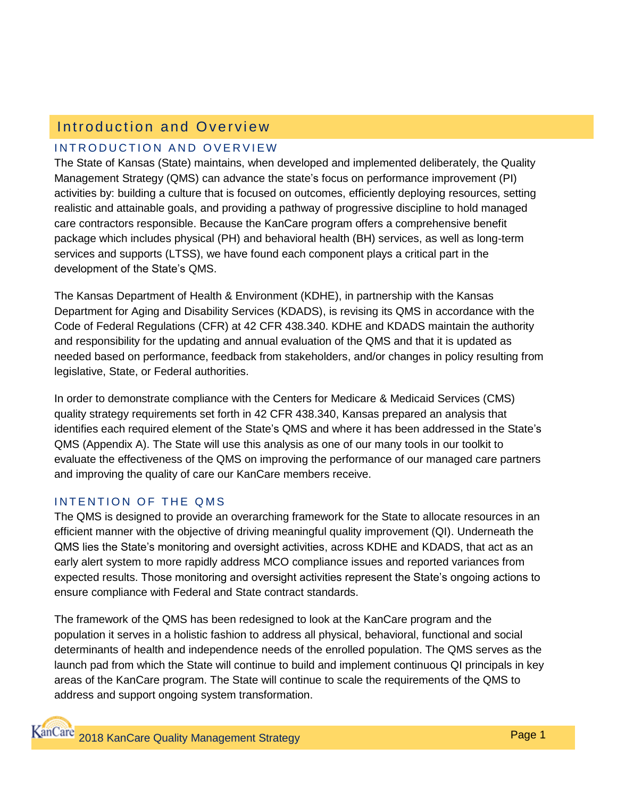## Introduction and Overview

## INTRODUCTION AND OVERVIEW

The State of Kansas (State) maintains, when developed and implemented deliberately, the Quality Management Strategy (QMS) can advance the state's focus on performance improvement (PI) activities by: building a culture that is focused on outcomes, efficiently deploying resources, setting realistic and attainable goals, and providing a pathway of progressive discipline to hold managed care contractors responsible. Because the KanCare program offers a comprehensive benefit package which includes physical (PH) and behavioral health (BH) services, as well as long-term services and supports (LTSS), we have found each component plays a critical part in the development of the State's QMS.

The Kansas Department of Health & Environment (KDHE), in partnership with the Kansas Department for Aging and Disability Services (KDADS), is revising its QMS in accordance with the Code of Federal Regulations (CFR) at 42 CFR 438.340. KDHE and KDADS maintain the authority and responsibility for the updating and annual evaluation of the QMS and that it is updated as needed based on performance, feedback from stakeholders, and/or changes in policy resulting from legislative, State, or Federal authorities.

In order to demonstrate compliance with the Centers for Medicare & Medicaid Services (CMS) quality strategy requirements set forth in 42 CFR 438.340, Kansas prepared an analysis that identifies each required element of the State's QMS and where it has been addressed in the State's QMS (Appendix A). The State will use this analysis as one of our many tools in our toolkit to evaluate the effectiveness of the QMS on improving the performance of our managed care partners and improving the quality of care our KanCare members receive.

## INTENTION OF THE OMS

The QMS is designed to provide an overarching framework for the State to allocate resources in an efficient manner with the objective of driving meaningful quality improvement (QI). Underneath the QMS lies the State's monitoring and oversight activities, across KDHE and KDADS, that act as an early alert system to more rapidly address MCO compliance issues and reported variances from expected results. Those monitoring and oversight activities represent the State's ongoing actions to ensure compliance with Federal and State contract standards.

The framework of the QMS has been redesigned to look at the KanCare program and the population it serves in a holistic fashion to address all physical, behavioral, functional and social determinants of health and independence needs of the enrolled population. The QMS serves as the launch pad from which the State will continue to build and implement continuous QI principals in key areas of the KanCare program. The State will continue to scale the requirements of the QMS to address and support ongoing system transformation.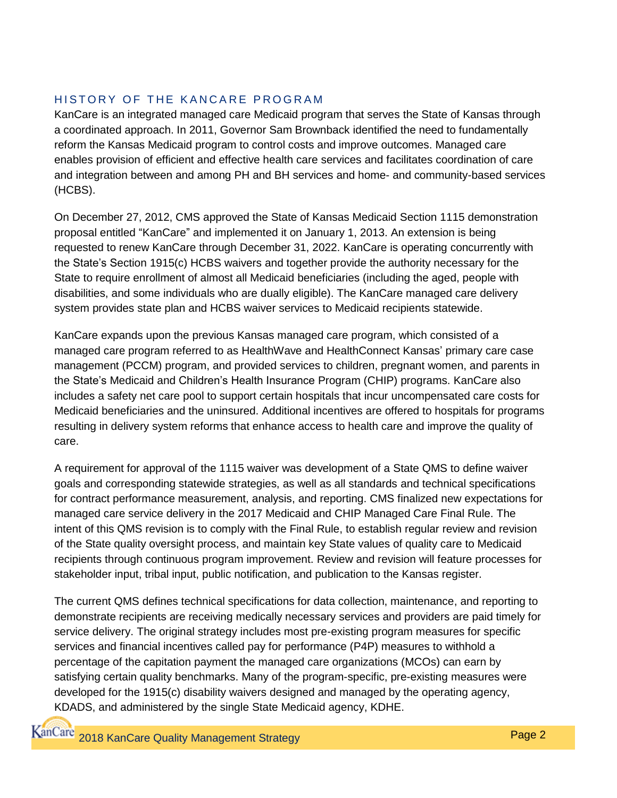## HISTORY OF THE KANCARE PROGRAM

KanCare is an integrated managed care Medicaid program that serves the State of Kansas through a coordinated approach. In 2011, Governor Sam Brownback identified the need to fundamentally reform the Kansas Medicaid program to control costs and improve outcomes. Managed care enables provision of efficient and effective health care services and facilitates coordination of care and integration between and among PH and BH services and home- and community-based services (HCBS).

On December 27, 2012, CMS approved the State of Kansas Medicaid Section 1115 demonstration proposal entitled "KanCare" and implemented it on January 1, 2013. An extension is being requested to renew KanCare through December 31, 2022. KanCare is operating concurrently with the State's Section 1915(c) HCBS waivers and together provide the authority necessary for the State to require enrollment of almost all Medicaid beneficiaries (including the aged, people with disabilities, and some individuals who are dually eligible). The KanCare managed care delivery system provides state plan and HCBS waiver services to Medicaid recipients statewide.

KanCare expands upon the previous Kansas managed care program, which consisted of a managed care program referred to as HealthWave and HealthConnect Kansas' primary care case management (PCCM) program, and provided services to children, pregnant women, and parents in the State's Medicaid and Children's Health Insurance Program (CHIP) programs. KanCare also includes a safety net care pool to support certain hospitals that incur uncompensated care costs for Medicaid beneficiaries and the uninsured. Additional incentives are offered to hospitals for programs resulting in delivery system reforms that enhance access to health care and improve the quality of care.

A requirement for approval of the 1115 waiver was development of a State QMS to define waiver goals and corresponding statewide strategies, as well as all standards and technical specifications for contract performance measurement, analysis, and reporting. CMS finalized new expectations for managed care service delivery in the 2017 Medicaid and CHIP Managed Care Final Rule. The intent of this QMS revision is to comply with the Final Rule, to establish regular review and revision of the State quality oversight process, and maintain key State values of quality care to Medicaid recipients through continuous program improvement. Review and revision will feature processes for stakeholder input, tribal input, public notification, and publication to the Kansas register.

The current QMS defines technical specifications for data collection, maintenance, and reporting to demonstrate recipients are receiving medically necessary services and providers are paid timely for service delivery. The original strategy includes most pre-existing program measures for specific services and financial incentives called pay for performance (P4P) measures to withhold a percentage of the capitation payment the managed care organizations (MCOs) can earn by satisfying certain quality benchmarks. Many of the program-specific, pre-existing measures were developed for the 1915(c) disability waivers designed and managed by the operating agency, KDADS, and administered by the single State Medicaid agency, KDHE.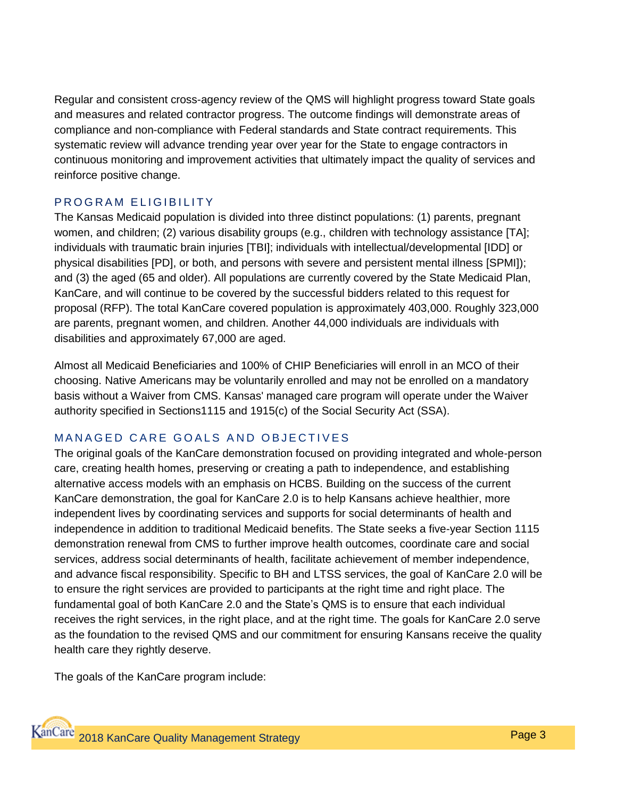Regular and consistent cross-agency review of the QMS will highlight progress toward State goals and measures and related contractor progress. The outcome findings will demonstrate areas of compliance and non-compliance with Federal standards and State contract requirements. This systematic review will advance trending year over year for the State to engage contractors in continuous monitoring and improvement activities that ultimately impact the quality of services and reinforce positive change.

### PROGRAM ELIGIBILITY

The Kansas Medicaid population is divided into three distinct populations: (1) parents, pregnant women, and children; (2) various disability groups (e.g., children with technology assistance [TA]; individuals with traumatic brain injuries [TBI]; individuals with intellectual/developmental [IDD] or physical disabilities [PD], or both, and persons with severe and persistent mental illness [SPMI]); and (3) the aged (65 and older). All populations are currently covered by the State Medicaid Plan, KanCare, and will continue to be covered by the successful bidders related to this request for proposal (RFP). The total KanCare covered population is approximately 403,000. Roughly 323,000 are parents, pregnant women, and children. Another 44,000 individuals are individuals with disabilities and approximately 67,000 are aged.

Almost all Medicaid Beneficiaries and 100% of CHIP Beneficiaries will enroll in an MCO of their choosing. Native Americans may be voluntarily enrolled and may not be enrolled on a mandatory basis without a Waiver from CMS. Kansas' managed care program will operate under the Waiver authority specified in Sections1115 and 1915(c) of the Social Security Act (SSA).

## MANAGED CARE GOALS AND OBJECTIVES

The original goals of the KanCare demonstration focused on providing integrated and whole-person care, creating health homes, preserving or creating a path to independence, and establishing alternative access models with an emphasis on HCBS. Building on the success of the current KanCare demonstration, the goal for KanCare 2.0 is to help Kansans achieve healthier, more independent lives by coordinating services and supports for social determinants of health and independence in addition to traditional Medicaid benefits. The State seeks a five-year Section 1115 demonstration renewal from CMS to further improve health outcomes, coordinate care and social services, address social determinants of health, facilitate achievement of member independence, and advance fiscal responsibility. Specific to BH and LTSS services, the goal of KanCare 2.0 will be to ensure the right services are provided to participants at the right time and right place. The fundamental goal of both KanCare 2.0 and the State's QMS is to ensure that each individual receives the right services, in the right place, and at the right time. The goals for KanCare 2.0 serve as the foundation to the revised QMS and our commitment for ensuring Kansans receive the quality health care they rightly deserve.

The goals of the KanCare program include: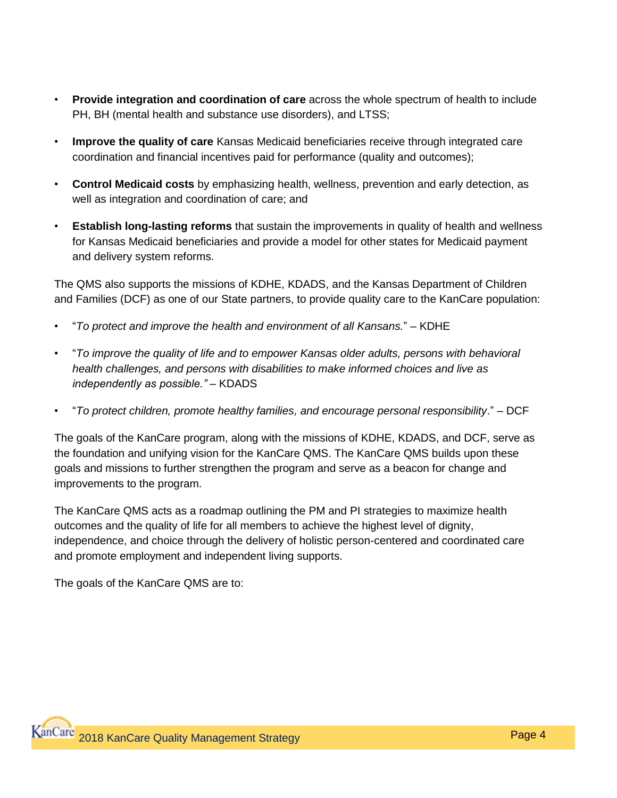- **Provide integration and coordination of care** across the whole spectrum of health to include PH, BH (mental health and substance use disorders), and LTSS;
- **Improve the quality of care** Kansas Medicaid beneficiaries receive through integrated care coordination and financial incentives paid for performance (quality and outcomes);
- **Control Medicaid costs** by emphasizing health, wellness, prevention and early detection, as well as integration and coordination of care; and
- **Establish long-lasting reforms** that sustain the improvements in quality of health and wellness for Kansas Medicaid beneficiaries and provide a model for other states for Medicaid payment and delivery system reforms.

The QMS also supports the missions of KDHE, KDADS, and the Kansas Department of Children and Families (DCF) as one of our State partners, to provide quality care to the KanCare population:

- "*To protect and improve the health and environment of all Kansans.*" KDHE
- "*To improve the quality of life and to empower Kansas older adults, persons with behavioral health challenges, and persons with disabilities to make informed choices and live as independently as possible."* – KDADS
- "*To protect children, promote healthy families, and encourage personal responsibility*." DCF

The goals of the KanCare program, along with the missions of KDHE, KDADS, and DCF, serve as the foundation and unifying vision for the KanCare QMS. The KanCare QMS builds upon these goals and missions to further strengthen the program and serve as a beacon for change and improvements to the program.

The KanCare QMS acts as a roadmap outlining the PM and PI strategies to maximize health outcomes and the quality of life for all members to achieve the highest level of dignity, independence, and choice through the delivery of holistic person-centered and coordinated care and promote employment and independent living supports.

The goals of the KanCare QMS are to: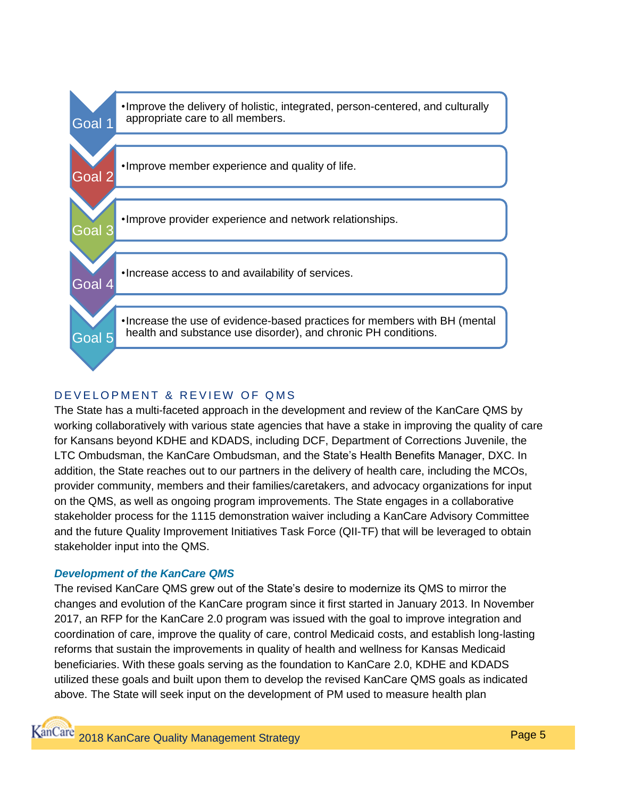

## DE VELOPMENT & REVIEW OF QMS

The State has a multi-faceted approach in the development and review of the KanCare QMS by working collaboratively with various state agencies that have a stake in improving the quality of care for Kansans beyond KDHE and KDADS, including DCF, Department of Corrections Juvenile, the LTC Ombudsman, the KanCare Ombudsman, and the State's Health Benefits Manager, DXC. In addition, the State reaches out to our partners in the delivery of health care, including the MCOs, provider community, members and their families/caretakers, and advocacy organizations for input on the QMS, as well as ongoing program improvements. The State engages in a collaborative stakeholder process for the 1115 demonstration waiver including a KanCare Advisory Committee and the future Quality Improvement Initiatives Task Force (QII-TF) that will be leveraged to obtain stakeholder input into the QMS.

### *Development of the KanCare QMS*

The revised KanCare QMS grew out of the State's desire to modernize its QMS to mirror the changes and evolution of the KanCare program since it first started in January 2013. In November 2017, an RFP for the KanCare 2.0 program was issued with the goal to improve integration and coordination of care, improve the quality of care, control Medicaid costs, and establish long-lasting reforms that sustain the improvements in quality of health and wellness for Kansas Medicaid beneficiaries. With these goals serving as the foundation to KanCare 2.0, KDHE and KDADS utilized these goals and built upon them to develop the revised KanCare QMS goals as indicated above. The State will seek input on the development of PM used to measure health plan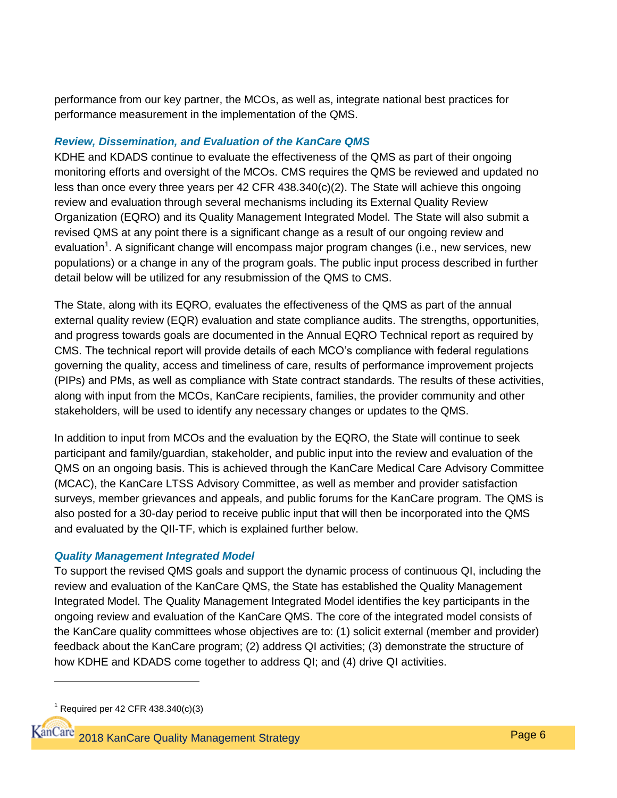performance from our key partner, the MCOs, as well as, integrate national best practices for performance measurement in the implementation of the QMS.

#### *Review, Dissemination, and Evaluation of the KanCare QMS*

KDHE and KDADS continue to evaluate the effectiveness of the QMS as part of their ongoing monitoring efforts and oversight of the MCOs. CMS requires the QMS be reviewed and updated no less than once every three years per 42 CFR 438.340(c)(2). The State will achieve this ongoing review and evaluation through several mechanisms including its External Quality Review Organization (EQRO) and its Quality Management Integrated Model. The State will also submit a revised QMS at any point there is a significant change as a result of our ongoing review and evaluation<sup>1</sup>. A significant change will encompass major program changes (i.e., new services, new populations) or a change in any of the program goals. The public input process described in further detail below will be utilized for any resubmission of the QMS to CMS.

The State, along with its EQRO, evaluates the effectiveness of the QMS as part of the annual external quality review (EQR) evaluation and state compliance audits. The strengths, opportunities, and progress towards goals are documented in the Annual EQRO Technical report as required by CMS. The technical report will provide details of each MCO's compliance with federal regulations governing the quality, access and timeliness of care, results of performance improvement projects (PIPs) and PMs, as well as compliance with State contract standards. The results of these activities, along with input from the MCOs, KanCare recipients, families, the provider community and other stakeholders, will be used to identify any necessary changes or updates to the QMS.

In addition to input from MCOs and the evaluation by the EQRO, the State will continue to seek participant and family/guardian, stakeholder, and public input into the review and evaluation of the QMS on an ongoing basis. This is achieved through the KanCare Medical Care Advisory Committee (MCAC), the KanCare LTSS Advisory Committee, as well as member and provider satisfaction surveys, member grievances and appeals, and public forums for the KanCare program. The QMS is also posted for a 30-day period to receive public input that will then be incorporated into the QMS and evaluated by the QII-TF, which is explained further below.

#### *Quality Management Integrated Model*

To support the revised QMS goals and support the dynamic process of continuous QI, including the review and evaluation of the KanCare QMS, the State has established the Quality Management Integrated Model. The Quality Management Integrated Model identifies the key participants in the ongoing review and evaluation of the KanCare QMS. The core of the integrated model consists of the KanCare quality committees whose objectives are to: (1) solicit external (member and provider) feedback about the KanCare program; (2) address QI activities; (3) demonstrate the structure of how KDHE and KDADS come together to address QI; and (4) drive QI activities.

 $\overline{a}$ 

 $1$  Required per 42 CFR 438.340(c)(3)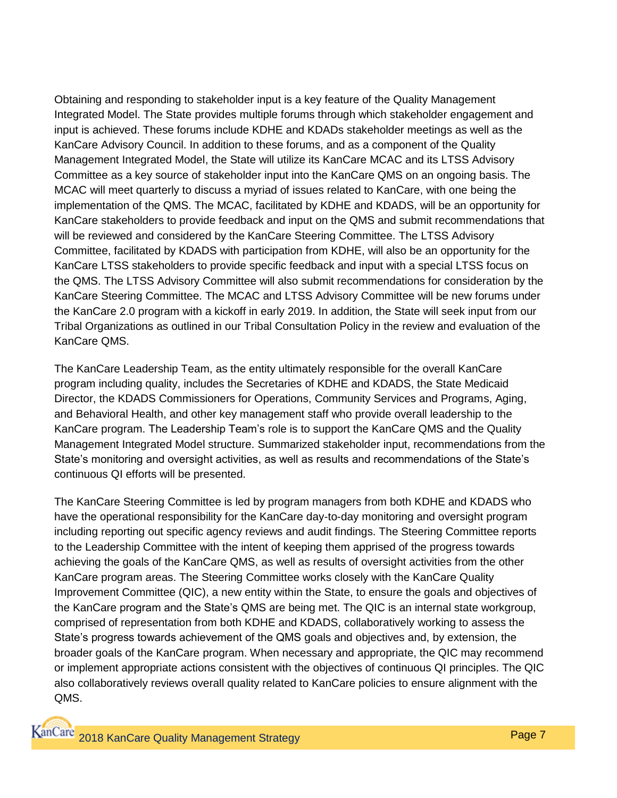Obtaining and responding to stakeholder input is a key feature of the Quality Management Integrated Model. The State provides multiple forums through which stakeholder engagement and input is achieved. These forums include KDHE and KDADs stakeholder meetings as well as the KanCare Advisory Council. In addition to these forums, and as a component of the Quality Management Integrated Model, the State will utilize its KanCare MCAC and its LTSS Advisory Committee as a key source of stakeholder input into the KanCare QMS on an ongoing basis. The MCAC will meet quarterly to discuss a myriad of issues related to KanCare, with one being the implementation of the QMS. The MCAC, facilitated by KDHE and KDADS, will be an opportunity for KanCare stakeholders to provide feedback and input on the QMS and submit recommendations that will be reviewed and considered by the KanCare Steering Committee. The LTSS Advisory Committee, facilitated by KDADS with participation from KDHE, will also be an opportunity for the KanCare LTSS stakeholders to provide specific feedback and input with a special LTSS focus on the QMS. The LTSS Advisory Committee will also submit recommendations for consideration by the KanCare Steering Committee. The MCAC and LTSS Advisory Committee will be new forums under the KanCare 2.0 program with a kickoff in early 2019. In addition, the State will seek input from our Tribal Organizations as outlined in our Tribal Consultation Policy in the review and evaluation of the KanCare QMS.

The KanCare Leadership Team, as the entity ultimately responsible for the overall KanCare program including quality, includes the Secretaries of KDHE and KDADS, the State Medicaid Director, the KDADS Commissioners for Operations, Community Services and Programs, Aging, and Behavioral Health, and other key management staff who provide overall leadership to the KanCare program. The Leadership Team's role is to support the KanCare QMS and the Quality Management Integrated Model structure. Summarized stakeholder input, recommendations from the State's monitoring and oversight activities, as well as results and recommendations of the State's continuous QI efforts will be presented.

The KanCare Steering Committee is led by program managers from both KDHE and KDADS who have the operational responsibility for the KanCare day-to-day monitoring and oversight program including reporting out specific agency reviews and audit findings. The Steering Committee reports to the Leadership Committee with the intent of keeping them apprised of the progress towards achieving the goals of the KanCare QMS, as well as results of oversight activities from the other KanCare program areas. The Steering Committee works closely with the KanCare Quality Improvement Committee (QIC), a new entity within the State, to ensure the goals and objectives of the KanCare program and the State's QMS are being met. The QIC is an internal state workgroup, comprised of representation from both KDHE and KDADS, collaboratively working to assess the State's progress towards achievement of the QMS goals and objectives and, by extension, the broader goals of the KanCare program. When necessary and appropriate, the QIC may recommend or implement appropriate actions consistent with the objectives of continuous QI principles. The QIC also collaboratively reviews overall quality related to KanCare policies to ensure alignment with the QMS.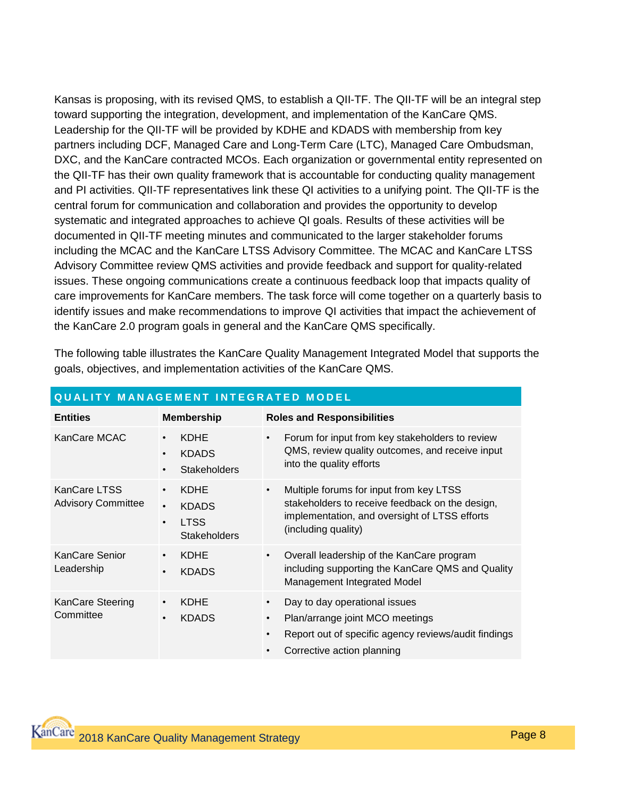Kansas is proposing, with its revised QMS, to establish a QII-TF. The QII-TF will be an integral step toward supporting the integration, development, and implementation of the KanCare QMS. Leadership for the QII-TF will be provided by KDHE and KDADS with membership from key partners including DCF, Managed Care and Long-Term Care (LTC), Managed Care Ombudsman, DXC, and the KanCare contracted MCOs. Each organization or governmental entity represented on the QII-TF has their own quality framework that is accountable for conducting quality management and PI activities. QII-TF representatives link these QI activities to a unifying point. The QII-TF is the central forum for communication and collaboration and provides the opportunity to develop systematic and integrated approaches to achieve QI goals. Results of these activities will be documented in QII-TF meeting minutes and communicated to the larger stakeholder forums including the MCAC and the KanCare LTSS Advisory Committee. The MCAC and KanCare LTSS Advisory Committee review QMS activities and provide feedback and support for quality-related issues. These ongoing communications create a continuous feedback loop that impacts quality of care improvements for KanCare members. The task force will come together on a quarterly basis to identify issues and make recommendations to improve QI activities that impact the achievement of the KanCare 2.0 program goals in general and the KanCare QMS specifically.

| <b>QUALITY MANAGEMENT INTEGRATED MODEL</b> |                                                                                             |                                                                                                                                                                                                            |
|--------------------------------------------|---------------------------------------------------------------------------------------------|------------------------------------------------------------------------------------------------------------------------------------------------------------------------------------------------------------|
| <b>Entities</b>                            | <b>Membership</b>                                                                           | <b>Roles and Responsibilities</b>                                                                                                                                                                          |
| KanCare MCAC                               | <b>KDHE</b><br>$\bullet$<br><b>KDADS</b><br>$\bullet$<br><b>Stakeholders</b><br>$\bullet$   | Forum for input from key stakeholders to review<br>$\bullet$<br>QMS, review quality outcomes, and receive input<br>into the quality efforts                                                                |
| KanCare LTSS<br><b>Advisory Committee</b>  | <b>KDHE</b><br><b>KDADS</b><br>$\bullet$<br><b>LTSS</b><br>$\bullet$<br><b>Stakeholders</b> | Multiple forums for input from key LTSS<br>$\bullet$<br>stakeholders to receive feedback on the design,<br>implementation, and oversight of LTSS efforts<br>(including quality)                            |
| KanCare Senior<br>Leadership               | <b>KDHE</b><br><b>KDADS</b><br>$\bullet$                                                    | Overall leadership of the KanCare program<br>$\bullet$<br>including supporting the KanCare QMS and Quality<br>Management Integrated Model                                                                  |
| KanCare Steering<br>Committee              | KDHE<br>$\bullet$<br><b>KDADS</b><br>$\bullet$                                              | Day to day operational issues<br>$\bullet$<br>Plan/arrange joint MCO meetings<br>$\bullet$<br>Report out of specific agency reviews/audit findings<br>$\bullet$<br>Corrective action planning<br>$\bullet$ |

The following table illustrates the KanCare Quality Management Integrated Model that supports the goals, objectives, and implementation activities of the KanCare QMS.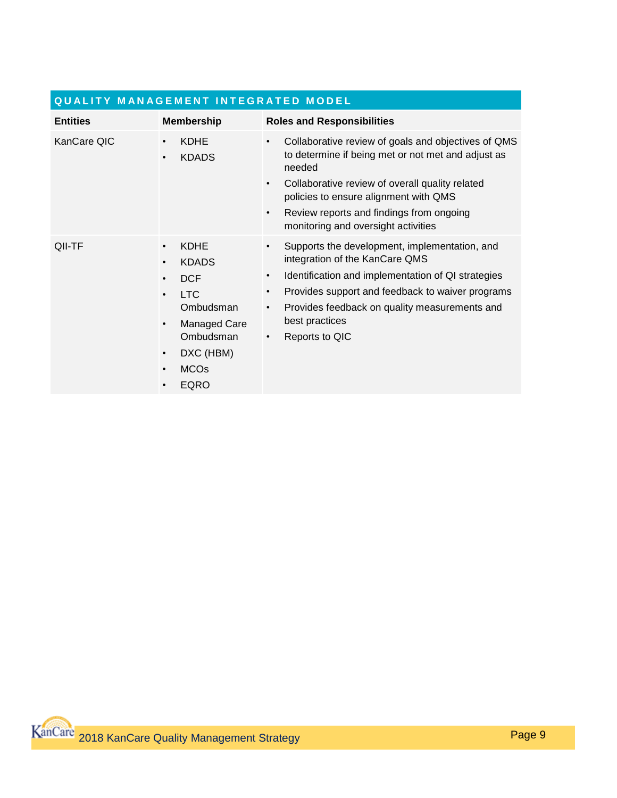| <b>QUALITY MANAGEMENT INTEGRATED MODEL</b> |                                                                                                                                                                                                                                                |                                                                                                                                                                                                                                                                                                                                           |  |
|--------------------------------------------|------------------------------------------------------------------------------------------------------------------------------------------------------------------------------------------------------------------------------------------------|-------------------------------------------------------------------------------------------------------------------------------------------------------------------------------------------------------------------------------------------------------------------------------------------------------------------------------------------|--|
| <b>Entities</b>                            | <b>Membership</b>                                                                                                                                                                                                                              | <b>Roles and Responsibilities</b>                                                                                                                                                                                                                                                                                                         |  |
| KanCare QIC                                | <b>KDHE</b><br><b>KDADS</b><br>$\bullet$                                                                                                                                                                                                       | Collaborative review of goals and objectives of QMS<br>$\bullet$<br>to determine if being met or not met and adjust as<br>needed<br>Collaborative review of overall quality related<br>$\bullet$<br>policies to ensure alignment with QMS<br>Review reports and findings from ongoing<br>$\bullet$<br>monitoring and oversight activities |  |
| QII-TF                                     | <b>KDHE</b><br>$\bullet$<br><b>KDADS</b><br>$\bullet$<br><b>DCF</b><br>$\bullet$<br><b>LTC</b><br>$\bullet$<br>Ombudsman<br><b>Managed Care</b><br>$\bullet$<br>Ombudsman<br>DXC (HBM)<br>$\bullet$<br><b>MCOs</b><br>$\bullet$<br><b>EQRO</b> | Supports the development, implementation, and<br>$\bullet$<br>integration of the KanCare QMS<br>Identification and implementation of QI strategies<br>٠<br>Provides support and feedback to waiver programs<br>٠<br>Provides feedback on quality measurements and<br>٠<br>best practices<br>Reports to QIC<br>٠                           |  |

## **Q U A L I T Y M A N A G E M E N T I N T E G R A T E D M O D E L**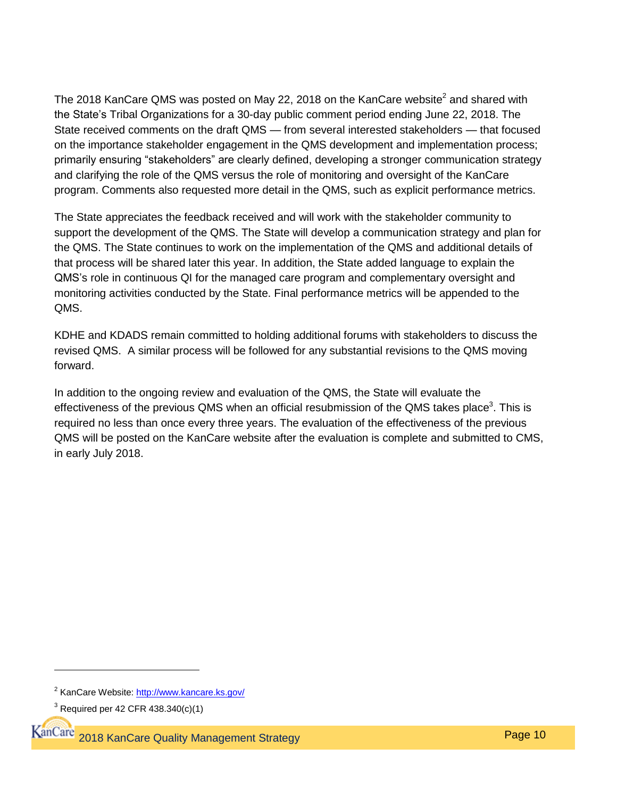The 2018 KanCare QMS was posted on May 22, 2018 on the KanCare website<sup>2</sup> and shared with the State's Tribal Organizations for a 30-day public comment period ending June 22, 2018. The State received comments on the draft QMS — from several interested stakeholders — that focused on the importance stakeholder engagement in the QMS development and implementation process; primarily ensuring "stakeholders" are clearly defined, developing a stronger communication strategy and clarifying the role of the QMS versus the role of monitoring and oversight of the KanCare program. Comments also requested more detail in the QMS, such as explicit performance metrics.

The State appreciates the feedback received and will work with the stakeholder community to support the development of the QMS. The State will develop a communication strategy and plan for the QMS. The State continues to work on the implementation of the QMS and additional details of that process will be shared later this year. In addition, the State added language to explain the QMS's role in continuous QI for the managed care program and complementary oversight and monitoring activities conducted by the State. Final performance metrics will be appended to the QMS.

KDHE and KDADS remain committed to holding additional forums with stakeholders to discuss the revised QMS. A similar process will be followed for any substantial revisions to the QMS moving forward.

In addition to the ongoing review and evaluation of the QMS, the State will evaluate the effectiveness of the previous QMS when an official resubmission of the QMS takes place<sup>3</sup>. This is required no less than once every three years. The evaluation of the effectiveness of the previous QMS will be posted on the KanCare website after the evaluation is complete and submitted to CMS, in early July 2018.

<sup>&</sup>lt;sup>2</sup> KanCare Website:<http://www.kancare.ks.gov/>

 $3$  Required per 42 CFR 438.340(c)(1)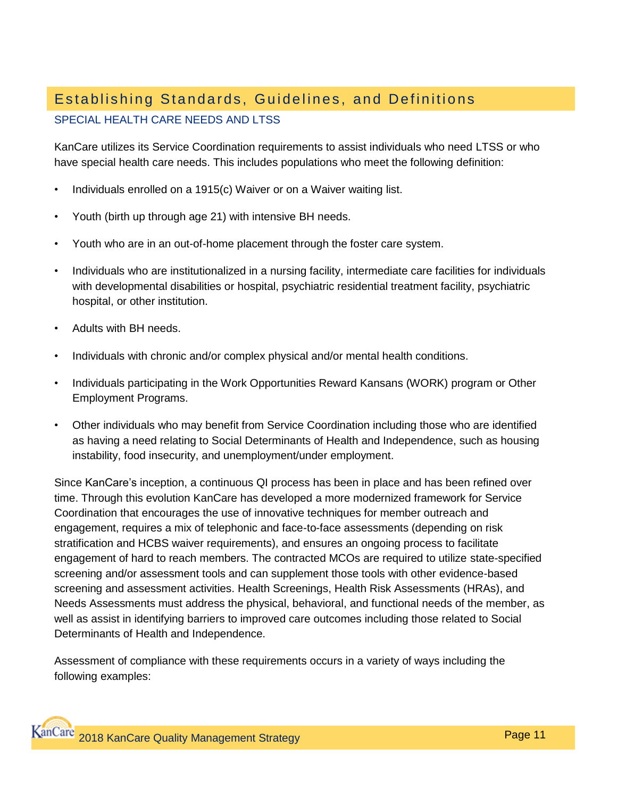## Establishing Standards, Guidelines, and Definitions

### SPECIAL HEALTH CARE NEEDS AND LTSS

KanCare utilizes its Service Coordination requirements to assist individuals who need LTSS or who have special health care needs. This includes populations who meet the following definition:

- Individuals enrolled on a 1915(c) Waiver or on a Waiver waiting list.
- Youth (birth up through age 21) with intensive BH needs.
- Youth who are in an out-of-home placement through the foster care system.
- Individuals who are institutionalized in a nursing facility, intermediate care facilities for individuals with developmental disabilities or hospital, psychiatric residential treatment facility, psychiatric hospital, or other institution.
- Adults with BH needs.
- Individuals with chronic and/or complex physical and/or mental health conditions.
- Individuals participating in the Work Opportunities Reward Kansans (WORK) program or Other Employment Programs.
- Other individuals who may benefit from Service Coordination including those who are identified as having a need relating to Social Determinants of Health and Independence, such as housing instability, food insecurity, and unemployment/under employment.

Since KanCare's inception, a continuous QI process has been in place and has been refined over time. Through this evolution KanCare has developed a more modernized framework for Service Coordination that encourages the use of innovative techniques for member outreach and engagement, requires a mix of telephonic and face-to-face assessments (depending on risk stratification and HCBS waiver requirements), and ensures an ongoing process to facilitate engagement of hard to reach members. The contracted MCOs are required to utilize state-specified screening and/or assessment tools and can supplement those tools with other evidence-based screening and assessment activities. Health Screenings, Health Risk Assessments (HRAs), and Needs Assessments must address the physical, behavioral, and functional needs of the member, as well as assist in identifying barriers to improved care outcomes including those related to Social Determinants of Health and Independence.

Assessment of compliance with these requirements occurs in a variety of ways including the following examples: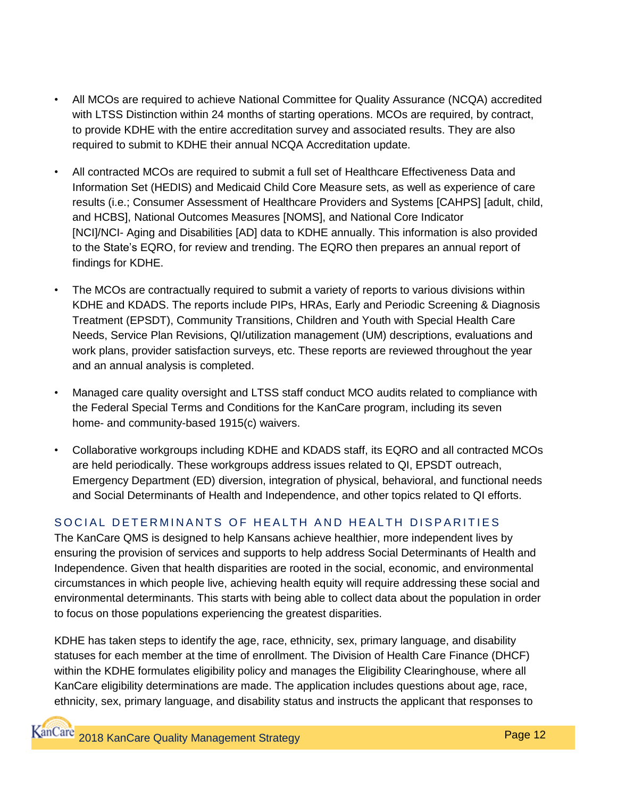- All MCOs are required to achieve National Committee for Quality Assurance (NCQA) accredited with LTSS Distinction within 24 months of starting operations. MCOs are required, by contract, to provide KDHE with the entire accreditation survey and associated results. They are also required to submit to KDHE their annual NCQA Accreditation update.
- All contracted MCOs are required to submit a full set of Healthcare Effectiveness Data and Information Set (HEDIS) and Medicaid Child Core Measure sets, as well as experience of care results (i.e.; Consumer Assessment of Healthcare Providers and Systems [CAHPS] [adult, child, and HCBS], National Outcomes Measures [NOMS], and National Core Indicator [NCI]/NCI- Aging and Disabilities [AD] data to KDHE annually. This information is also provided to the State's EQRO, for review and trending. The EQRO then prepares an annual report of findings for KDHE.
- The MCOs are contractually required to submit a variety of reports to various divisions within KDHE and KDADS. The reports include PIPs, HRAs, Early and Periodic Screening & Diagnosis Treatment (EPSDT), Community Transitions, Children and Youth with Special Health Care Needs, Service Plan Revisions, QI/utilization management (UM) descriptions, evaluations and work plans, provider satisfaction surveys, etc. These reports are reviewed throughout the year and an annual analysis is completed.
- Managed care quality oversight and LTSS staff conduct MCO audits related to compliance with the Federal Special Terms and Conditions for the KanCare program, including its seven home- and community-based 1915(c) waivers.
- Collaborative workgroups including KDHE and KDADS staff, its EQRO and all contracted MCOs are held periodically. These workgroups address issues related to QI, EPSDT outreach, Emergency Department (ED) diversion, integration of physical, behavioral, and functional needs and Social Determinants of Health and Independence, and other topics related to QI efforts.

## SOCIAL DETERMINANTS OF HEALTH AND HEALTH DISPARITIES

The KanCare QMS is designed to help Kansans achieve healthier, more independent lives by ensuring the provision of services and supports to help address Social Determinants of Health and Independence. Given that health disparities are rooted in the social, economic, and environmental circumstances in which people live, achieving health equity will require addressing these social and environmental determinants. This starts with being able to collect data about the population in order to focus on those populations experiencing the greatest disparities.

KDHE has taken steps to identify the age, race, ethnicity, sex, primary language, and disability statuses for each member at the time of enrollment. The Division of Health Care Finance (DHCF) within the KDHE formulates eligibility policy and manages the Eligibility Clearinghouse, where all KanCare eligibility determinations are made. The application includes questions about age, race, ethnicity, sex, primary language, and disability status and instructs the applicant that responses to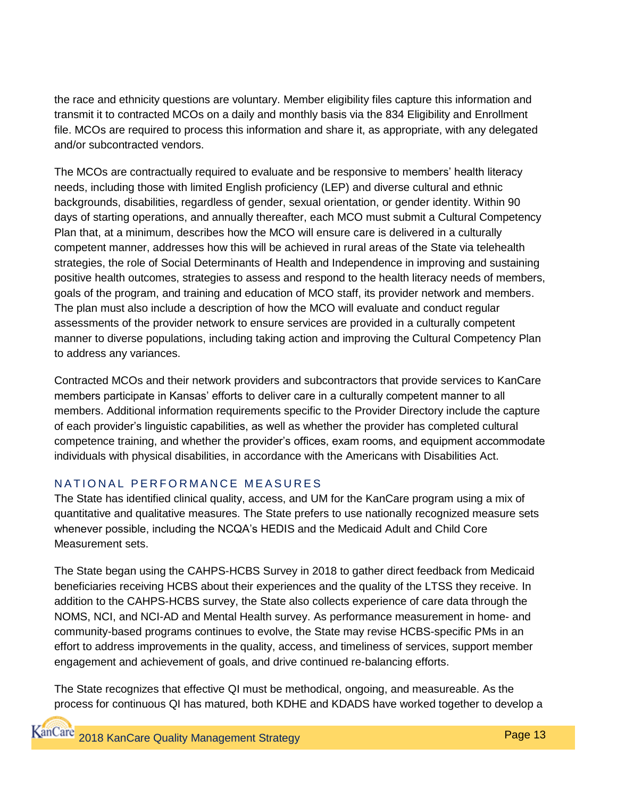the race and ethnicity questions are voluntary. Member eligibility files capture this information and transmit it to contracted MCOs on a daily and monthly basis via the 834 Eligibility and Enrollment file. MCOs are required to process this information and share it, as appropriate, with any delegated and/or subcontracted vendors.

The MCOs are contractually required to evaluate and be responsive to members' health literacy needs, including those with limited English proficiency (LEP) and diverse cultural and ethnic backgrounds, disabilities, regardless of gender, sexual orientation, or gender identity. Within 90 days of starting operations, and annually thereafter, each MCO must submit a Cultural Competency Plan that, at a minimum, describes how the MCO will ensure care is delivered in a culturally competent manner, addresses how this will be achieved in rural areas of the State via telehealth strategies, the role of Social Determinants of Health and Independence in improving and sustaining positive health outcomes, strategies to assess and respond to the health literacy needs of members, goals of the program, and training and education of MCO staff, its provider network and members. The plan must also include a description of how the MCO will evaluate and conduct regular assessments of the provider network to ensure services are provided in a culturally competent manner to diverse populations, including taking action and improving the Cultural Competency Plan to address any variances.

Contracted MCOs and their network providers and subcontractors that provide services to KanCare members participate in Kansas' efforts to deliver care in a culturally competent manner to all members. Additional information requirements specific to the Provider Directory include the capture of each provider's linguistic capabilities, as well as whether the provider has completed cultural competence training, and whether the provider's offices, exam rooms, and equipment accommodate individuals with physical disabilities, in accordance with the Americans with Disabilities Act.

## NATIONAL PERFORMANCE MEASURES

The State has identified clinical quality, access, and UM for the KanCare program using a mix of quantitative and qualitative measures. The State prefers to use nationally recognized measure sets whenever possible, including the NCQA's HEDIS and the Medicaid Adult and Child Core Measurement sets.

The State began using the CAHPS-HCBS Survey in 2018 to gather direct feedback from Medicaid beneficiaries receiving HCBS about their experiences and the quality of the LTSS they receive. In addition to the CAHPS-HCBS survey, the State also collects experience of care data through the NOMS, NCI, and NCI-AD and Mental Health survey. As performance measurement in home- and community-based programs continues to evolve, the State may revise HCBS-specific PMs in an effort to address improvements in the quality, access, and timeliness of services, support member engagement and achievement of goals, and drive continued re-balancing efforts.

The State recognizes that effective QI must be methodical, ongoing, and measureable. As the process for continuous QI has matured, both KDHE and KDADS have worked together to develop a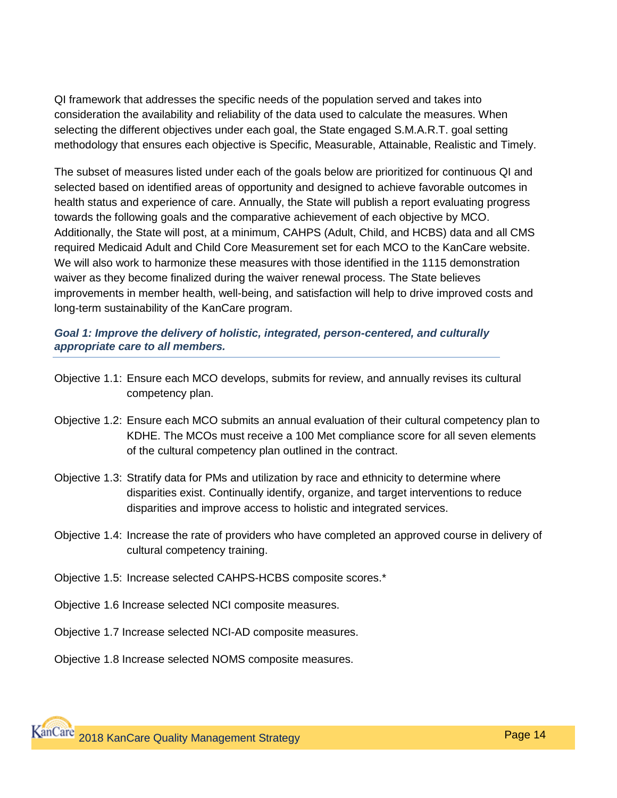QI framework that addresses the specific needs of the population served and takes into consideration the availability and reliability of the data used to calculate the measures. When selecting the different objectives under each goal, the State engaged S.M.A.R.T. goal setting methodology that ensures each objective is Specific, Measurable, Attainable, Realistic and Timely.

The subset of measures listed under each of the goals below are prioritized for continuous QI and selected based on identified areas of opportunity and designed to achieve favorable outcomes in health status and experience of care. Annually, the State will publish a report evaluating progress towards the following goals and the comparative achievement of each objective by MCO. Additionally, the State will post, at a minimum, CAHPS (Adult, Child, and HCBS) data and all CMS required Medicaid Adult and Child Core Measurement set for each MCO to the KanCare website. We will also work to harmonize these measures with those identified in the 1115 demonstration waiver as they become finalized during the waiver renewal process. The State believes improvements in member health, well-being, and satisfaction will help to drive improved costs and long-term sustainability of the KanCare program.

#### *Goal 1: Improve the delivery of holistic, integrated, person-centered, and culturally appropriate care to all members.*

- Objective 1.1: Ensure each MCO develops, submits for review, and annually revises its cultural competency plan.
- Objective 1.2: Ensure each MCO submits an annual evaluation of their cultural competency plan to KDHE. The MCOs must receive a 100 Met compliance score for all seven elements of the cultural competency plan outlined in the contract.
- Objective 1.3: Stratify data for PMs and utilization by race and ethnicity to determine where disparities exist. Continually identify, organize, and target interventions to reduce disparities and improve access to holistic and integrated services.
- Objective 1.4: Increase the rate of providers who have completed an approved course in delivery of cultural competency training.
- Objective 1.5: Increase selected CAHPS-HCBS composite scores.\*
- Objective 1.6 Increase selected NCI composite measures.
- Objective 1.7 Increase selected NCI-AD composite measures.

Objective 1.8 Increase selected NOMS composite measures.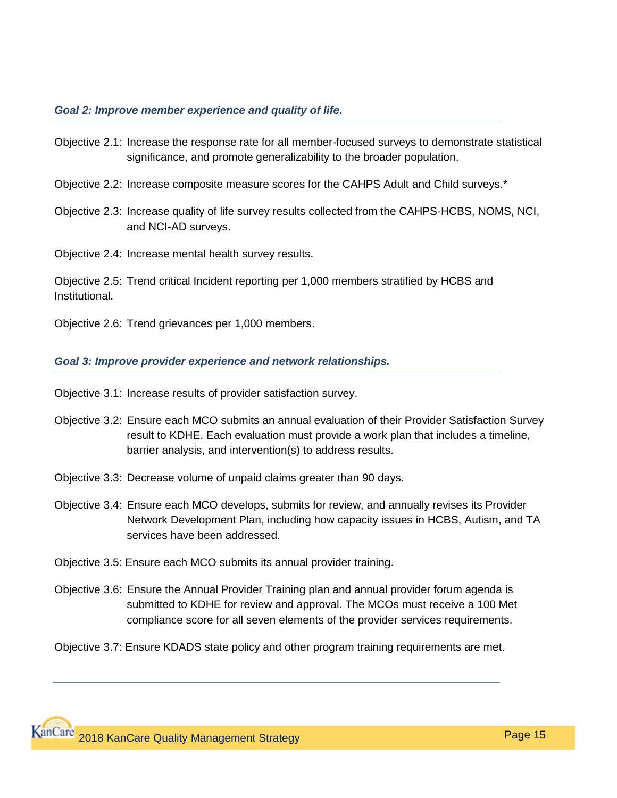#### *Goal 2: Improve member experience and quality of life.*

- Objective 2.1: Increase the response rate for all member-focused surveys to demonstrate statistical significance, and promote generalizability to the broader population.
- Objective 2.2: Increase composite measure scores for the CAHPS Adult and Child surveys.\*
- Objective 2.3: Increase quality of life survey results collected from the CAHPS-HCBS, NOMS, NCI, and NCI-AD surveys.
- Objective 2.4: Increase mental health survey results.

Objective 2.5: Trend critical Incident reporting per 1,000 members stratified by HCBS and Institutional.

Objective 2.6: Trend grievances per 1,000 members.

#### *Goal 3: Improve provider experience and network relationships.*

Objective 3.1: Increase results of provider satisfaction survey.

- Objective 3.2: Ensure each MCO submits an annual evaluation of their Provider Satisfaction Survey result to KDHE. Each evaluation must provide a work plan that includes a timeline, barrier analysis, and intervention(s) to address results.
- Objective 3.3: Decrease volume of unpaid claims greater than 90 days.
- Objective 3.4: Ensure each MCO develops, submits for review, and annually revises its Provider Network Development Plan, including how capacity issues in HCBS, Autism, and TA services have been addressed.
- Objective 3.5: Ensure each MCO submits its annual provider training.
- Objective 3.6: Ensure the Annual Provider Training plan and annual provider forum agenda is submitted to KDHE for review and approval. The MCOs must receive a 100 Met compliance score for all seven elements of the provider services requirements.
- Objective 3.7: Ensure KDADS state policy and other program training requirements are met.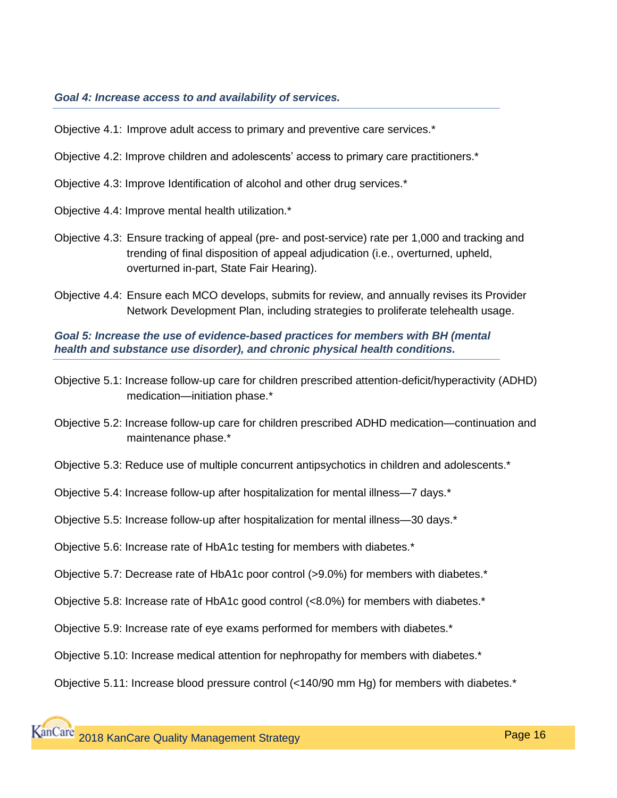#### *Goal 4: Increase access to and availability of services.*

Objective 4.1: Improve adult access to primary and preventive care services.\*

- Objective 4.2: Improve children and adolescents' access to primary care practitioners.\*
- Objective 4.3: Improve Identification of alcohol and other drug services.\*
- Objective 4.4: Improve mental health utilization.\*
- Objective 4.3: Ensure tracking of appeal (pre- and post-service) rate per 1,000 and tracking and trending of final disposition of appeal adjudication (i.e., overturned, upheld, overturned in-part, State Fair Hearing).
- Objective 4.4: Ensure each MCO develops, submits for review, and annually revises its Provider Network Development Plan, including strategies to proliferate telehealth usage.

*Goal 5: Increase the use of evidence-based practices for members with BH (mental health and substance use disorder), and chronic physical health conditions.*

- Objective 5.1: Increase follow-up care for children prescribed attention-deficit/hyperactivity (ADHD) medication—initiation phase.\*
- Objective 5.2: Increase follow-up care for children prescribed ADHD medication—continuation and maintenance phase.\*

Objective 5.3: Reduce use of multiple concurrent antipsychotics in children and adolescents.\*

Objective 5.4: Increase follow-up after hospitalization for mental illness—7 days.\*

Objective 5.5: Increase follow-up after hospitalization for mental illness—30 days.\*

- Objective 5.6: Increase rate of HbA1c testing for members with diabetes.\*
- Objective 5.7: Decrease rate of HbA1c poor control (>9.0%) for members with diabetes.\*
- Objective 5.8: Increase rate of HbA1c good control (<8.0%) for members with diabetes.\*
- Objective 5.9: Increase rate of eye exams performed for members with diabetes.\*
- Objective 5.10: Increase medical attention for nephropathy for members with diabetes.\*

Objective 5.11: Increase blood pressure control (<140/90 mm Hg) for members with diabetes.\*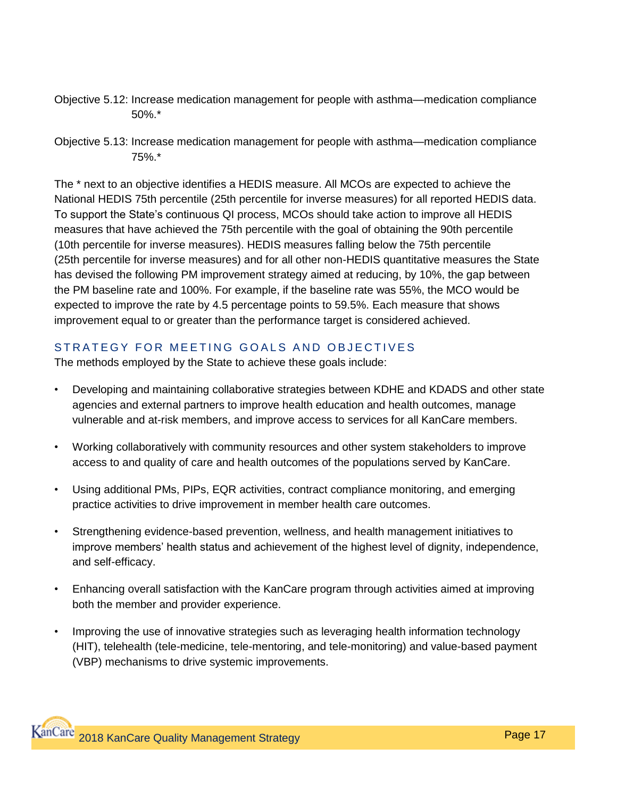Objective 5.12: Increase medication management for people with asthma—medication compliance 50%.\*

The \* next to an objective identifies a HEDIS measure. All MCOs are expected to achieve the National HEDIS 75th percentile (25th percentile for inverse measures) for all reported HEDIS data. To support the State's continuous QI process, MCOs should take action to improve all HEDIS measures that have achieved the 75th percentile with the goal of obtaining the 90th percentile (10th percentile for inverse measures). HEDIS measures falling below the 75th percentile (25th percentile for inverse measures) and for all other non-HEDIS quantitative measures the State has devised the following PM improvement strategy aimed at reducing, by 10%, the gap between the PM baseline rate and 100%. For example, if the baseline rate was 55%, the MCO would be expected to improve the rate by 4.5 percentage points to 59.5%. Each measure that shows improvement equal to or greater than the performance target is considered achieved.

## STRATEGY FOR MEETING GOALS AND OBJECTIVES

The methods employed by the State to achieve these goals include:

- Developing and maintaining collaborative strategies between KDHE and KDADS and other state agencies and external partners to improve health education and health outcomes, manage vulnerable and at-risk members, and improve access to services for all KanCare members.
- Working collaboratively with community resources and other system stakeholders to improve access to and quality of care and health outcomes of the populations served by KanCare.
- Using additional PMs, PIPs, EQR activities, contract compliance monitoring, and emerging practice activities to drive improvement in member health care outcomes.
- Strengthening evidence-based prevention, wellness, and health management initiatives to improve members' health status and achievement of the highest level of dignity, independence, and self-efficacy.
- Enhancing overall satisfaction with the KanCare program through activities aimed at improving both the member and provider experience.
- Improving the use of innovative strategies such as leveraging health information technology (HIT), telehealth (tele-medicine, tele-mentoring, and tele-monitoring) and value-based payment (VBP) mechanisms to drive systemic improvements.

Objective 5.13: Increase medication management for people with asthma—medication compliance 75%.\*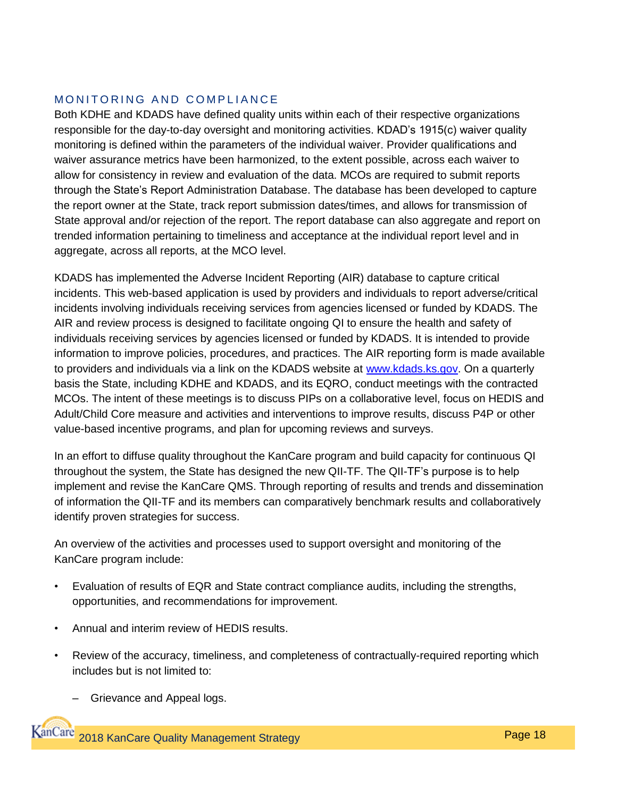## MONITORING AND COMPLIANCE

Both KDHE and KDADS have defined quality units within each of their respective organizations responsible for the day-to-day oversight and monitoring activities. KDAD's 1915(c) waiver quality monitoring is defined within the parameters of the individual waiver. Provider qualifications and waiver assurance metrics have been harmonized, to the extent possible, across each waiver to allow for consistency in review and evaluation of the data. MCOs are required to submit reports through the State's Report Administration Database. The database has been developed to capture the report owner at the State, track report submission dates/times, and allows for transmission of State approval and/or rejection of the report. The report database can also aggregate and report on trended information pertaining to timeliness and acceptance at the individual report level and in aggregate, across all reports, at the MCO level.

KDADS has implemented the Adverse Incident Reporting (AIR) database to capture critical incidents. This web-based application is used by providers and individuals to report adverse/critical incidents involving individuals receiving services from agencies licensed or funded by KDADS. The AIR and review process is designed to facilitate ongoing QI to ensure the health and safety of individuals receiving services by agencies licensed or funded by KDADS. It is intended to provide information to improve policies, procedures, and practices. The AIR reporting form is made available to providers and individuals via a link on the KDADS website at [www.kdads.ks.gov.](http://www.kdads.ks.gov/) On a quarterly basis the State, including KDHE and KDADS, and its EQRO, conduct meetings with the contracted MCOs. The intent of these meetings is to discuss PIPs on a collaborative level, focus on HEDIS and Adult/Child Core measure and activities and interventions to improve results, discuss P4P or other value-based incentive programs, and plan for upcoming reviews and surveys.

In an effort to diffuse quality throughout the KanCare program and build capacity for continuous QI throughout the system, the State has designed the new QII-TF. The QII-TF's purpose is to help implement and revise the KanCare QMS. Through reporting of results and trends and dissemination of information the QII-TF and its members can comparatively benchmark results and collaboratively identify proven strategies for success.

An overview of the activities and processes used to support oversight and monitoring of the KanCare program include:

- Evaluation of results of EQR and State contract compliance audits, including the strengths, opportunities, and recommendations for improvement.
- Annual and interim review of HEDIS results.
- Review of the accuracy, timeliness, and completeness of contractually-required reporting which includes but is not limited to:
	- Grievance and Appeal logs.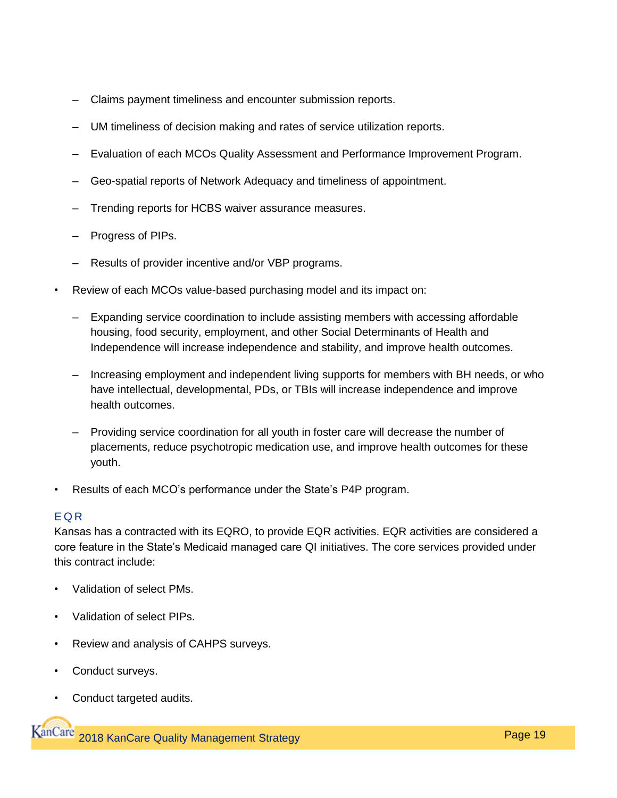- Claims payment timeliness and encounter submission reports.
- UM timeliness of decision making and rates of service utilization reports.
- Evaluation of each MCOs Quality Assessment and Performance Improvement Program.
- Geo-spatial reports of Network Adequacy and timeliness of appointment.
- Trending reports for HCBS waiver assurance measures.
- Progress of PIPs.
- Results of provider incentive and/or VBP programs.
- Review of each MCOs value-based purchasing model and its impact on:
	- Expanding service coordination to include assisting members with accessing affordable housing, food security, employment, and other Social Determinants of Health and Independence will increase independence and stability, and improve health outcomes.
	- Increasing employment and independent living supports for members with BH needs, or who have intellectual, developmental, PDs, or TBIs will increase independence and improve health outcomes.
	- Providing service coordination for all youth in foster care will decrease the number of placements, reduce psychotropic medication use, and improve health outcomes for these youth.
- Results of each MCO's performance under the State's P4P program.

### E Q R

Kansas has a contracted with its EQRO, to provide EQR activities. EQR activities are considered a core feature in the State's Medicaid managed care QI initiatives. The core services provided under this contract include:

- Validation of select PMs.
- Validation of select PIPs.
- Review and analysis of CAHPS surveys.
- Conduct surveys.
- Conduct targeted audits.

**KanCare** 2018 KanCare Quality Management Strategy **Page 19** Page 19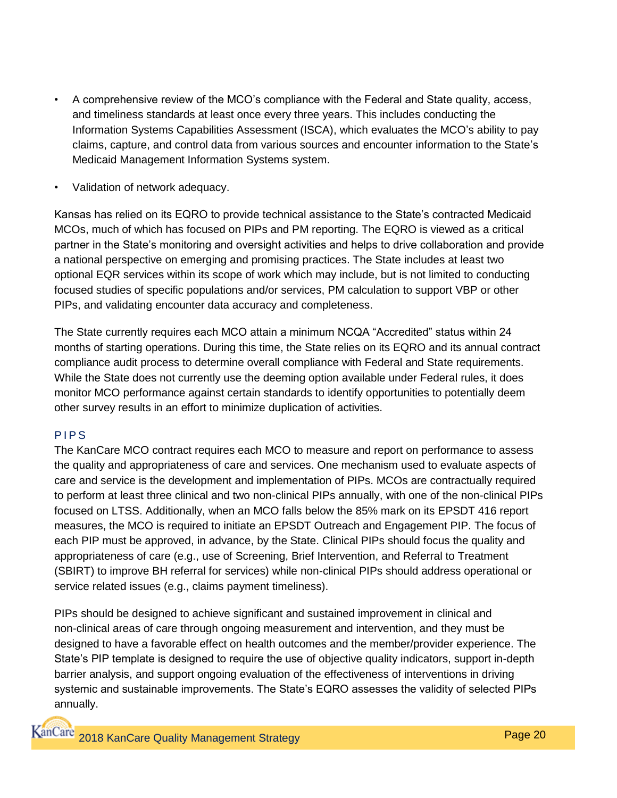- A comprehensive review of the MCO's compliance with the Federal and State quality, access, and timeliness standards at least once every three years. This includes conducting the Information Systems Capabilities Assessment (ISCA), which evaluates the MCO's ability to pay claims, capture, and control data from various sources and encounter information to the State's Medicaid Management Information Systems system.
- Validation of network adequacy.

Kansas has relied on its EQRO to provide technical assistance to the State's contracted Medicaid MCOs, much of which has focused on PIPs and PM reporting. The EQRO is viewed as a critical partner in the State's monitoring and oversight activities and helps to drive collaboration and provide a national perspective on emerging and promising practices. The State includes at least two optional EQR services within its scope of work which may include, but is not limited to conducting focused studies of specific populations and/or services, PM calculation to support VBP or other PIPs, and validating encounter data accuracy and completeness.

The State currently requires each MCO attain a minimum NCQA "Accredited" status within 24 months of starting operations. During this time, the State relies on its EQRO and its annual contract compliance audit process to determine overall compliance with Federal and State requirements. While the State does not currently use the deeming option available under Federal rules, it does monitor MCO performance against certain standards to identify opportunities to potentially deem other survey results in an effort to minimize duplication of activities.

## P<sub>IPS</sub>

The KanCare MCO contract requires each MCO to measure and report on performance to assess the quality and appropriateness of care and services. One mechanism used to evaluate aspects of care and service is the development and implementation of PIPs. MCOs are contractually required to perform at least three clinical and two non-clinical PIPs annually, with one of the non-clinical PIPs focused on LTSS. Additionally, when an MCO falls below the 85% mark on its EPSDT 416 report measures, the MCO is required to initiate an EPSDT Outreach and Engagement PIP. The focus of each PIP must be approved, in advance, by the State. Clinical PIPs should focus the quality and appropriateness of care (e.g., use of Screening, Brief Intervention, and Referral to Treatment (SBIRT) to improve BH referral for services) while non-clinical PIPs should address operational or service related issues (e.g., claims payment timeliness).

PIPs should be designed to achieve significant and sustained improvement in clinical and non-clinical areas of care through ongoing measurement and intervention, and they must be designed to have a favorable effect on health outcomes and the member/provider experience. The State's PIP template is designed to require the use of objective quality indicators, support in-depth barrier analysis, and support ongoing evaluation of the effectiveness of interventions in driving systemic and sustainable improvements. The State's EQRO assesses the validity of selected PIPs annually.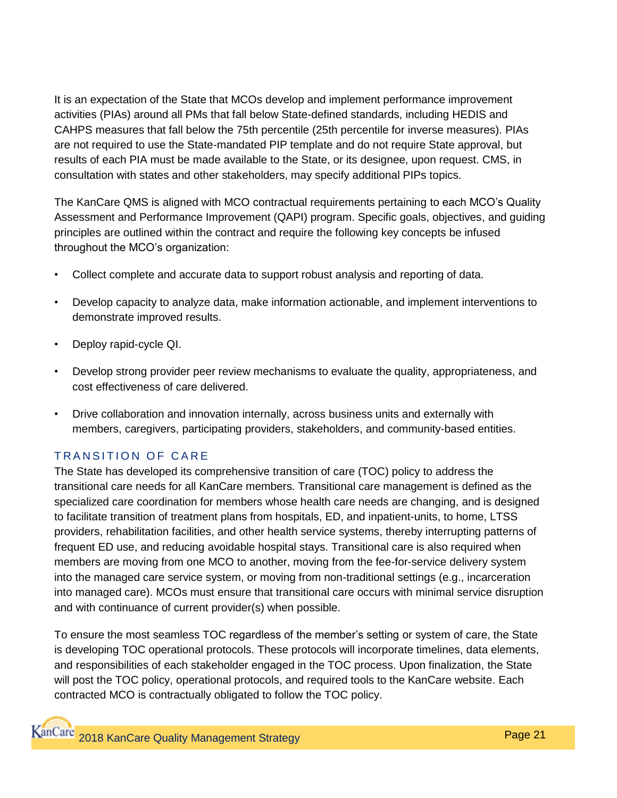It is an expectation of the State that MCOs develop and implement performance improvement activities (PIAs) around all PMs that fall below State-defined standards, including HEDIS and CAHPS measures that fall below the 75th percentile (25th percentile for inverse measures). PIAs are not required to use the State-mandated PIP template and do not require State approval, but results of each PIA must be made available to the State, or its designee, upon request. CMS, in consultation with states and other stakeholders, may specify additional PIPs topics.

The KanCare QMS is aligned with MCO contractual requirements pertaining to each MCO's Quality Assessment and Performance Improvement (QAPI) program. Specific goals, objectives, and guiding principles are outlined within the contract and require the following key concepts be infused throughout the MCO's organization:

- Collect complete and accurate data to support robust analysis and reporting of data.
- Develop capacity to analyze data, make information actionable, and implement interventions to demonstrate improved results.
- Deploy rapid-cycle QI.
- Develop strong provider peer review mechanisms to evaluate the quality, appropriateness, and cost effectiveness of care delivered.
- Drive collaboration and innovation internally, across business units and externally with members, caregivers, participating providers, stakeholders, and community-based entities.

## TRANSITION OF CARE

The State has developed its comprehensive transition of care (TOC) policy to address the transitional care needs for all KanCare members. Transitional care management is defined as the specialized care coordination for members whose health care needs are changing, and is designed to facilitate transition of treatment plans from hospitals, ED, and inpatient-units, to home, LTSS providers, rehabilitation facilities, and other health service systems, thereby interrupting patterns of frequent ED use, and reducing avoidable hospital stays. Transitional care is also required when members are moving from one MCO to another, moving from the fee-for-service delivery system into the managed care service system, or moving from non-traditional settings (e.g., incarceration into managed care). MCOs must ensure that transitional care occurs with minimal service disruption and with continuance of current provider(s) when possible.

To ensure the most seamless TOC regardless of the member's setting or system of care, the State is developing TOC operational protocols. These protocols will incorporate timelines, data elements, and responsibilities of each stakeholder engaged in the TOC process. Upon finalization, the State will post the TOC policy, operational protocols, and required tools to the KanCare website. Each contracted MCO is contractually obligated to follow the TOC policy.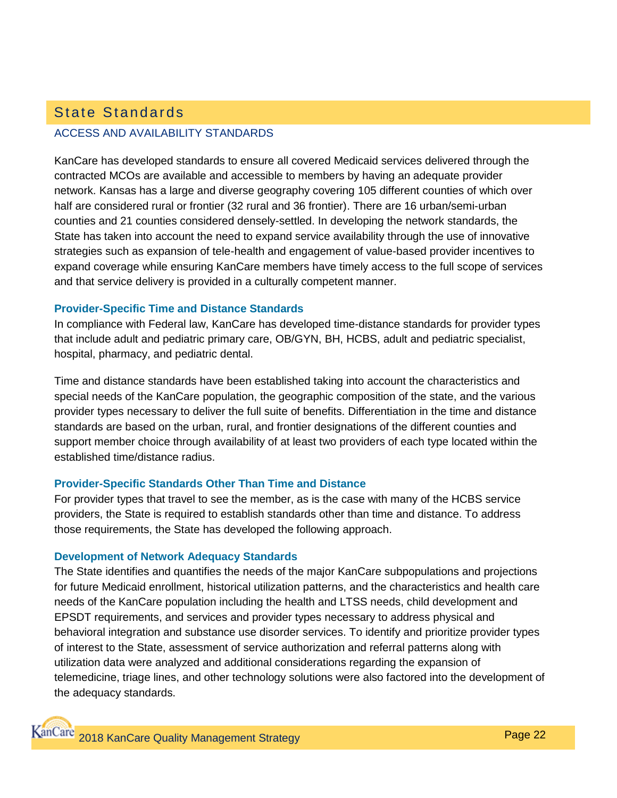## ACCESS AND AVAILABILITY STANDARDS State Standards

KanCare has developed standards to ensure all covered Medicaid services delivered through the contracted MCOs are available and accessible to members by having an adequate provider network. Kansas has a large and diverse geography covering 105 different counties of which over half are considered rural or frontier (32 rural and 36 frontier). There are 16 urban/semi-urban counties and 21 counties considered densely-settled. In developing the network standards, the State has taken into account the need to expand service availability through the use of innovative strategies such as expansion of tele-health and engagement of value-based provider incentives to expand coverage while ensuring KanCare members have timely access to the full scope of services and that service delivery is provided in a culturally competent manner.

#### **Provider-Specific Time and Distance Standards**

In compliance with Federal law, KanCare has developed time-distance standards for provider types that include adult and pediatric primary care, OB/GYN, BH, HCBS, adult and pediatric specialist, hospital, pharmacy, and pediatric dental.

Time and distance standards have been established taking into account the characteristics and special needs of the KanCare population, the geographic composition of the state, and the various provider types necessary to deliver the full suite of benefits. Differentiation in the time and distance standards are based on the urban, rural, and frontier designations of the different counties and support member choice through availability of at least two providers of each type located within the established time/distance radius.

### **Provider-Specific Standards Other Than Time and Distance**

For provider types that travel to see the member, as is the case with many of the HCBS service providers, the State is required to establish standards other than time and distance. To address those requirements, the State has developed the following approach.

#### **Development of Network Adequacy Standards**

The State identifies and quantifies the needs of the major KanCare subpopulations and projections for future Medicaid enrollment, historical utilization patterns, and the characteristics and health care needs of the KanCare population including the health and LTSS needs, child development and EPSDT requirements, and services and provider types necessary to address physical and behavioral integration and substance use disorder services. To identify and prioritize provider types of interest to the State, assessment of service authorization and referral patterns along with utilization data were analyzed and additional considerations regarding the expansion of telemedicine, triage lines, and other technology solutions were also factored into the development of the adequacy standards.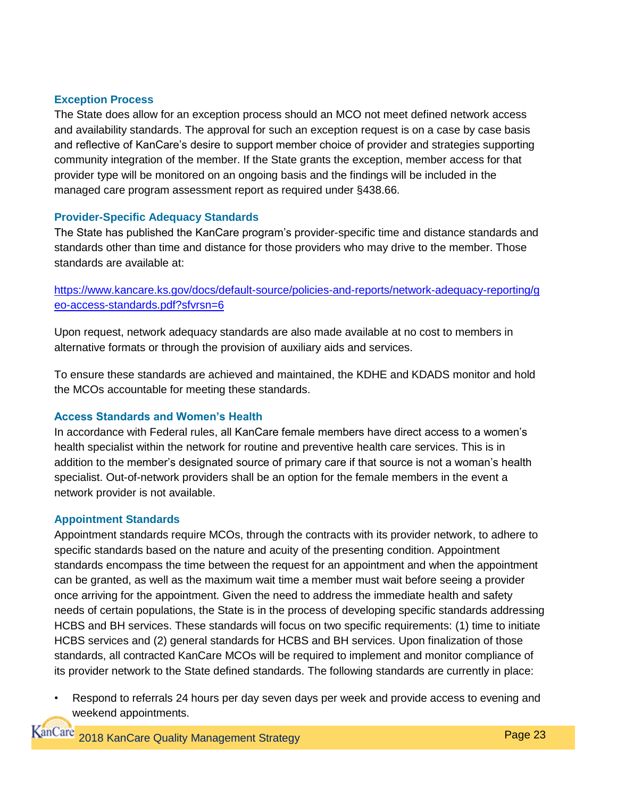#### **Exception Process**

The State does allow for an exception process should an MCO not meet defined network access and availability standards. The approval for such an exception request is on a case by case basis and reflective of KanCare's desire to support member choice of provider and strategies supporting community integration of the member. If the State grants the exception, member access for that provider type will be monitored on an ongoing basis and the findings will be included in the managed care program assessment report as required under §438.66.

#### **Provider-Specific Adequacy Standards**

The State has published the KanCare program's provider-specific time and distance standards and standards other than time and distance for those providers who may drive to the member. Those standards are available at:

### [https://www.kancare.ks.gov/docs/default-source/policies-and-reports/network-adequacy-reporting/g](https://www.kancare.ks.gov/docs/default-source/policies-and-reports/network-adequacy-reporting/geo-access-standards.pdf?sfvrsn=6) [eo-access-standards.pdf?sfvrsn=6](https://www.kancare.ks.gov/docs/default-source/policies-and-reports/network-adequacy-reporting/geo-access-standards.pdf?sfvrsn=6)

Upon request, network adequacy standards are also made available at no cost to members in alternative formats or through the provision of auxiliary aids and services.

To ensure these standards are achieved and maintained, the KDHE and KDADS monitor and hold the MCOs accountable for meeting these standards.

### **Access Standards and Women's Health**

In accordance with Federal rules, all KanCare female members have direct access to a women's health specialist within the network for routine and preventive health care services. This is in addition to the member's designated source of primary care if that source is not a woman's health specialist. Out-of-network providers shall be an option for the female members in the event a network provider is not available.

#### **Appointment Standards**

Appointment standards require MCOs, through the contracts with its provider network, to adhere to specific standards based on the nature and acuity of the presenting condition. Appointment standards encompass the time between the request for an appointment and when the appointment can be granted, as well as the maximum wait time a member must wait before seeing a provider once arriving for the appointment. Given the need to address the immediate health and safety needs of certain populations, the State is in the process of developing specific standards addressing HCBS and BH services. These standards will focus on two specific requirements: (1) time to initiate HCBS services and (2) general standards for HCBS and BH services. Upon finalization of those standards, all contracted KanCare MCOs will be required to implement and monitor compliance of its provider network to the State defined standards. The following standards are currently in place:

• Respond to referrals 24 hours per day seven days per week and provide access to evening and weekend appointments.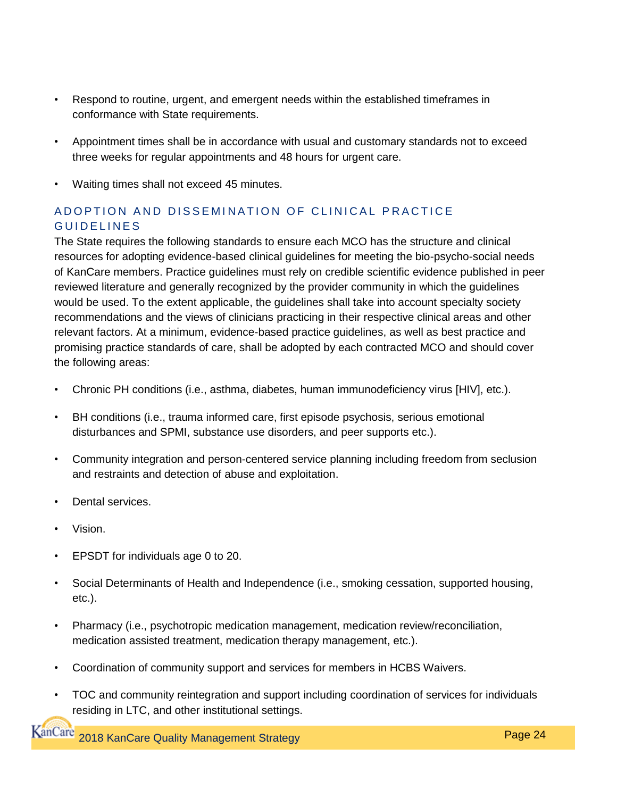- Respond to routine, urgent, and emergent needs within the established timeframes in conformance with State requirements.
- Appointment times shall be in accordance with usual and customary standards not to exceed three weeks for regular appointments and 48 hours for urgent care.
- Waiting times shall not exceed 45 minutes.

## A D O P T I ON A N D ISSEMINATION OF CLINICAL PRACTICE GUIDELINES

The State requires the following standards to ensure each MCO has the structure and clinical resources for adopting evidence-based clinical guidelines for meeting the bio-psycho-social needs of KanCare members. Practice guidelines must rely on credible scientific evidence published in peer reviewed literature and generally recognized by the provider community in which the guidelines would be used. To the extent applicable, the guidelines shall take into account specialty society recommendations and the views of clinicians practicing in their respective clinical areas and other relevant factors. At a minimum, evidence-based practice guidelines, as well as best practice and promising practice standards of care, shall be adopted by each contracted MCO and should cover the following areas:

- Chronic PH conditions (i.e., asthma, diabetes, human immunodeficiency virus [HIV], etc.).
- BH conditions (i.e., trauma informed care, first episode psychosis, serious emotional disturbances and SPMI, substance use disorders, and peer supports etc.).
- Community integration and person-centered service planning including freedom from seclusion and restraints and detection of abuse and exploitation.
- Dental services.
- Vision.
- EPSDT for individuals age 0 to 20.
- Social Determinants of Health and Independence (i.e., smoking cessation, supported housing, etc.).
- Pharmacy (i.e., psychotropic medication management, medication review/reconciliation, medication assisted treatment, medication therapy management, etc.).
- Coordination of community support and services for members in HCBS Waivers.
- TOC and community reintegration and support including coordination of services for individuals residing in LTC, and other institutional settings.

**KanCare** 2018 KanCare Quality Management Strategy **Page 24** Page 24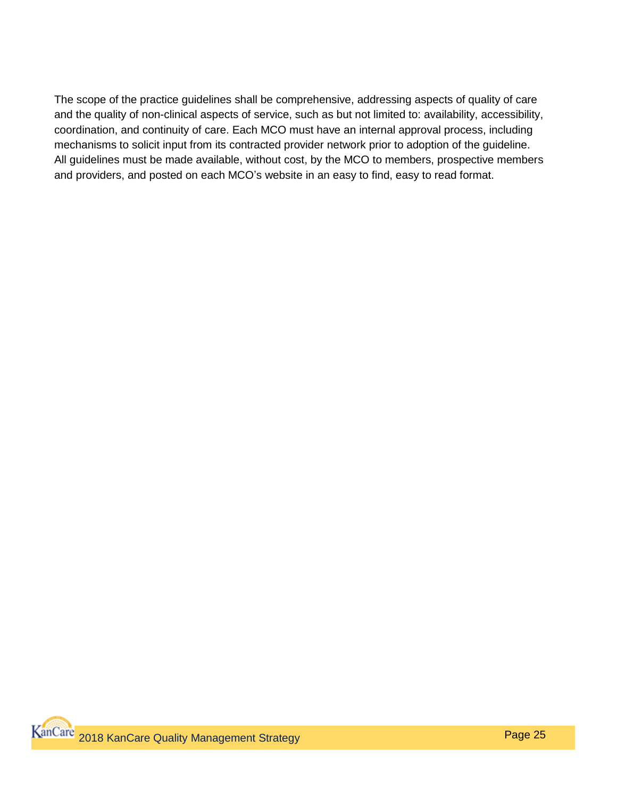The scope of the practice guidelines shall be comprehensive, addressing aspects of quality of care and the quality of non-clinical aspects of service, such as but not limited to: availability, accessibility, coordination, and continuity of care. Each MCO must have an internal approval process, including mechanisms to solicit input from its contracted provider network prior to adoption of the guideline. All guidelines must be made available, without cost, by the MCO to members, prospective members and providers, and posted on each MCO's website in an easy to find, easy to read format.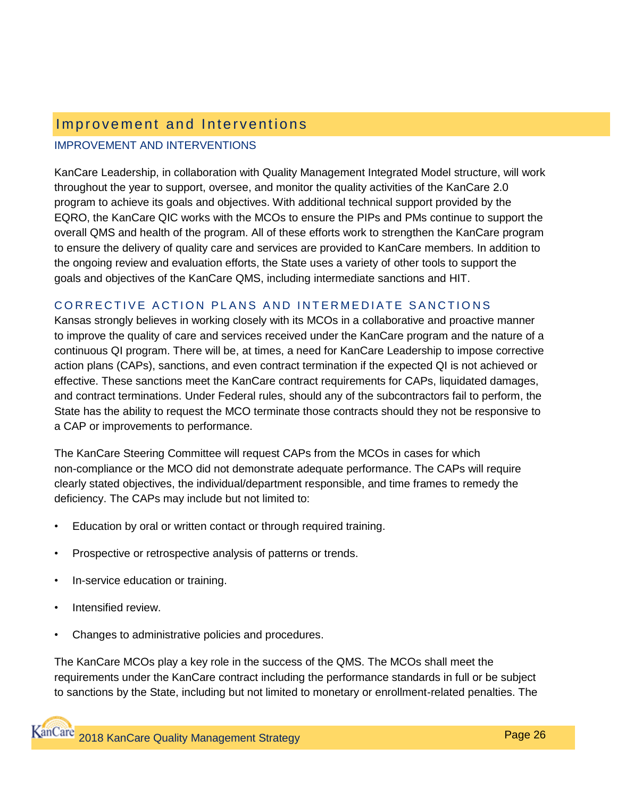## Improvement and Interventions

#### IMPROVEMENT AND INTERVENTIONS

KanCare Leadership, in collaboration with Quality Management Integrated Model structure, will work throughout the year to support, oversee, and monitor the quality activities of the KanCare 2.0 program to achieve its goals and objectives. With additional technical support provided by the EQRO, the KanCare QIC works with the MCOs to ensure the PIPs and PMs continue to support the overall QMS and health of the program. All of these efforts work to strengthen the KanCare program to ensure the delivery of quality care and services are provided to KanCare members. In addition to the ongoing review and evaluation efforts, the State uses a variety of other tools to support the goals and objectives of the KanCare QMS, including intermediate sanctions and HIT.

### CORRECTIVE ACTION PLANS AND INTERMEDIATE SANCTIONS

Kansas strongly believes in working closely with its MCOs in a collaborative and proactive manner to improve the quality of care and services received under the KanCare program and the nature of a continuous QI program. There will be, at times, a need for KanCare Leadership to impose corrective action plans (CAPs), sanctions, and even contract termination if the expected QI is not achieved or effective. These sanctions meet the KanCare contract requirements for CAPs, liquidated damages, and contract terminations. Under Federal rules, should any of the subcontractors fail to perform, the State has the ability to request the MCO terminate those contracts should they not be responsive to a CAP or improvements to performance.

The KanCare Steering Committee will request CAPs from the MCOs in cases for which non-compliance or the MCO did not demonstrate adequate performance. The CAPs will require clearly stated objectives, the individual/department responsible, and time frames to remedy the deficiency. The CAPs may include but not limited to:

- Education by oral or written contact or through required training.
- Prospective or retrospective analysis of patterns or trends.
- In-service education or training.
- Intensified review.
- Changes to administrative policies and procedures.

The KanCare MCOs play a key role in the success of the QMS. The MCOs shall meet the requirements under the KanCare contract including the performance standards in full or be subject to sanctions by the State, including but not limited to monetary or enrollment-related penalties. The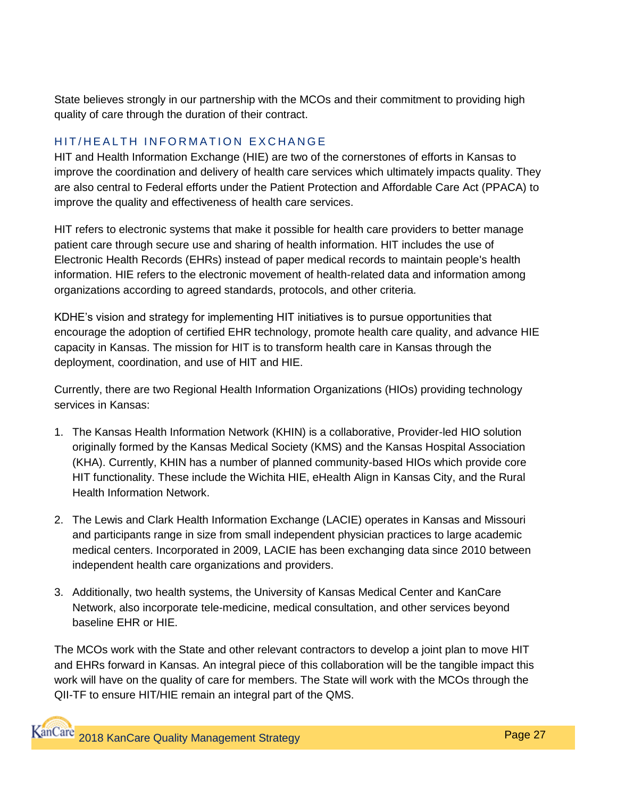State believes strongly in our partnership with the MCOs and their commitment to providing high quality of care through the duration of their contract.

### HIT/HEALTH INFORMATION EXCHANGE

HIT and Health Information Exchange (HIE) are two of the cornerstones of efforts in Kansas to improve the coordination and delivery of health care services which ultimately impacts quality. They are also central to Federal efforts under the Patient Protection and Affordable Care Act (PPACA) to improve the quality and effectiveness of health care services.

HIT refers to electronic systems that make it possible for health care providers to better manage patient care through secure use and sharing of health information. HIT includes the use of Electronic Health Records (EHRs) instead of paper medical records to maintain people's health information. HIE refers to the electronic movement of health-related data and information among organizations according to agreed standards, protocols, and other criteria.

KDHE's vision and strategy for implementing HIT initiatives is to pursue opportunities that encourage the adoption of certified EHR technology, promote health care quality, and advance HIE capacity in Kansas. The mission for HIT is to transform health care in Kansas through the deployment, coordination, and use of HIT and HIE.

Currently, there are two Regional Health Information Organizations (HIOs) providing technology services in Kansas:

- 1. The Kansas Health Information Network (KHIN) is a collaborative, Provider-led HIO solution originally formed by the Kansas Medical Society (KMS) and the Kansas Hospital Association (KHA). Currently, KHIN has a number of planned community-based HIOs which provide core HIT functionality. These include the Wichita HIE, eHealth Align in Kansas City, and the Rural Health Information Network.
- 2. The Lewis and Clark Health Information Exchange (LACIE) operates in Kansas and Missouri and participants range in size from small independent physician practices to large academic medical centers. Incorporated in 2009, LACIE has been exchanging data since 2010 between independent health care organizations and providers.
- 3. Additionally, two health systems, the University of Kansas Medical Center and KanCare Network, also incorporate tele-medicine, medical consultation, and other services beyond baseline EHR or HIE.

The MCOs work with the State and other relevant contractors to develop a joint plan to move HIT and EHRs forward in Kansas. An integral piece of this collaboration will be the tangible impact this work will have on the quality of care for members. The State will work with the MCOs through the QII-TF to ensure HIT/HIE remain an integral part of the QMS.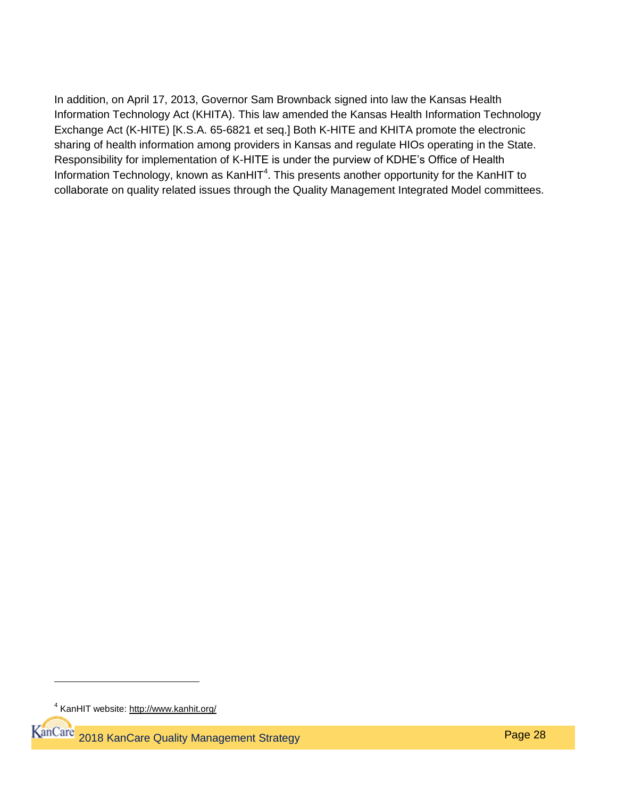In addition, on April 17, 2013, Governor Sam Brownback signed into law the Kansas Health Information Technology Act (KHITA). This law amended the Kansas Health Information Technology Exchange Act (K-HITE) [K.S.A. 65-6821 et seq.] Both K-HITE and KHITA promote the electronic sharing of health information among providers in Kansas and regulate HIOs operating in the State. Responsibility for implementation of K-HITE is under the purview of KDHE's Office of Health Information Technology, known as KanHIT<sup>4</sup>. This presents another opportunity for the KanHIT to collaborate on quality related issues through the Quality Management Integrated Model committees.

 $\overline{a}$ 

<sup>&</sup>lt;sup>4</sup> KanHIT website:<http://www.kanhit.org/>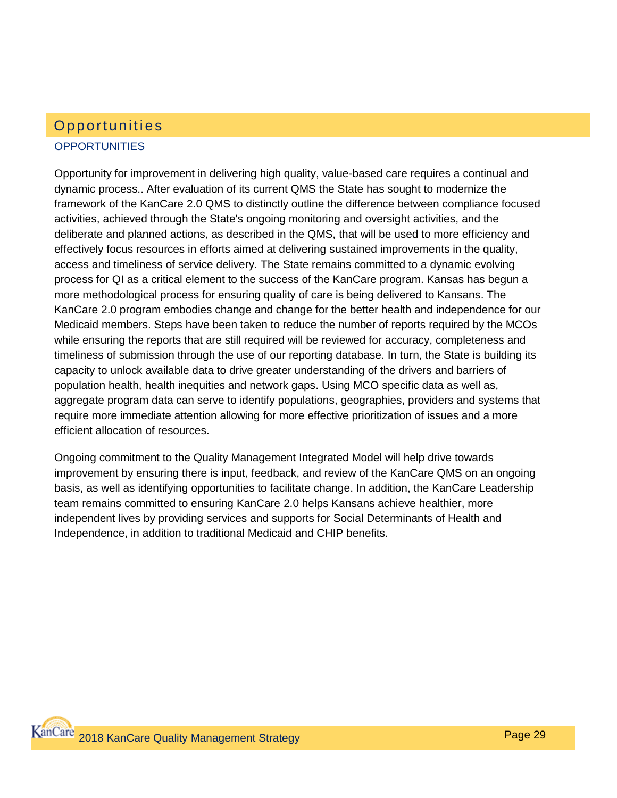## **OPPORTUNITIES** Opportunities

Opportunity for improvement in delivering high quality, value-based care requires a continual and dynamic process.. After evaluation of its current QMS the State has sought to modernize the framework of the KanCare 2.0 QMS to distinctly outline the difference between compliance focused activities, achieved through the State's ongoing monitoring and oversight activities, and the deliberate and planned actions, as described in the QMS, that will be used to more efficiency and effectively focus resources in efforts aimed at delivering sustained improvements in the quality, access and timeliness of service delivery. The State remains committed to a dynamic evolving process for QI as a critical element to the success of the KanCare program. Kansas has begun a more methodological process for ensuring quality of care is being delivered to Kansans. The KanCare 2.0 program embodies change and change for the better health and independence for our Medicaid members. Steps have been taken to reduce the number of reports required by the MCOs while ensuring the reports that are still required will be reviewed for accuracy, completeness and timeliness of submission through the use of our reporting database. In turn, the State is building its capacity to unlock available data to drive greater understanding of the drivers and barriers of population health, health inequities and network gaps. Using MCO specific data as well as, aggregate program data can serve to identify populations, geographies, providers and systems that require more immediate attention allowing for more effective prioritization of issues and a more efficient allocation of resources.

Ongoing commitment to the Quality Management Integrated Model will help drive towards improvement by ensuring there is input, feedback, and review of the KanCare QMS on an ongoing basis, as well as identifying opportunities to facilitate change. In addition, the KanCare Leadership team remains committed to ensuring KanCare 2.0 helps Kansans achieve healthier, more independent lives by providing services and supports for Social Determinants of Health and Independence, in addition to traditional Medicaid and CHIP benefits.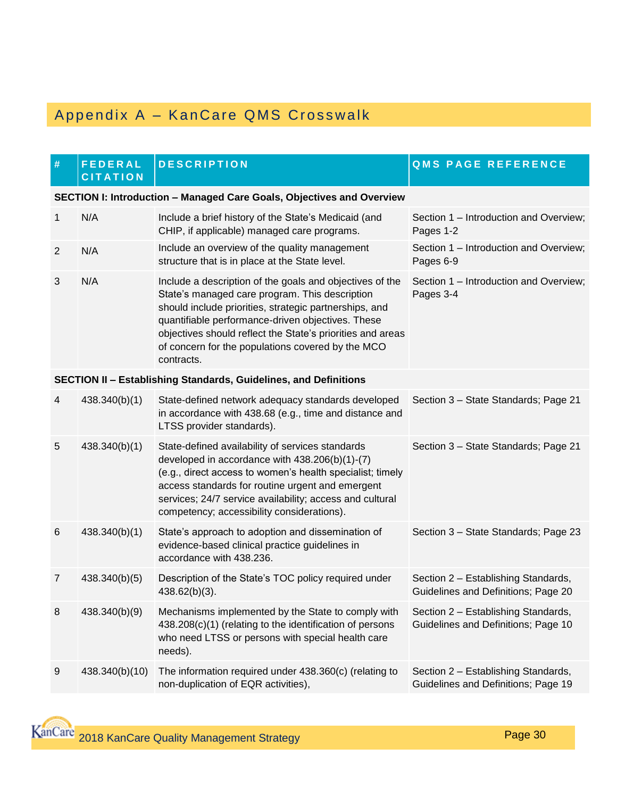## Appendix A – Kan Care QMS Crosswalk

| #               | <b>FEDERAL</b><br><b>CITATION</b>                                     | <b>DESCRIPTION</b>                                                                                                                                                                                                                                                                                                                                         | <b>QMS PAGE REFERENCE</b>                                                  |  |
|-----------------|-----------------------------------------------------------------------|------------------------------------------------------------------------------------------------------------------------------------------------------------------------------------------------------------------------------------------------------------------------------------------------------------------------------------------------------------|----------------------------------------------------------------------------|--|
|                 | SECTION I: Introduction - Managed Care Goals, Objectives and Overview |                                                                                                                                                                                                                                                                                                                                                            |                                                                            |  |
| 1               | N/A                                                                   | Include a brief history of the State's Medicaid (and<br>CHIP, if applicable) managed care programs.                                                                                                                                                                                                                                                        | Section 1 - Introduction and Overview;<br>Pages 1-2                        |  |
| $\overline{2}$  | N/A                                                                   | Include an overview of the quality management<br>structure that is in place at the State level.                                                                                                                                                                                                                                                            | Section 1 - Introduction and Overview;<br>Pages 6-9                        |  |
| 3               | N/A                                                                   | Include a description of the goals and objectives of the<br>State's managed care program. This description<br>should include priorities, strategic partnerships, and<br>quantifiable performance-driven objectives. These<br>objectives should reflect the State's priorities and areas<br>of concern for the populations covered by the MCO<br>contracts. | Section 1 - Introduction and Overview;<br>Pages 3-4                        |  |
|                 |                                                                       | SECTION II - Establishing Standards, Guidelines, and Definitions                                                                                                                                                                                                                                                                                           |                                                                            |  |
| 4               | 438.340(b)(1)                                                         | State-defined network adequacy standards developed<br>in accordance with 438.68 (e.g., time and distance and<br>LTSS provider standards).                                                                                                                                                                                                                  | Section 3 - State Standards; Page 21                                       |  |
| 5               | 438.340(b)(1)                                                         | State-defined availability of services standards<br>developed in accordance with 438.206(b)(1)-(7)<br>(e.g., direct access to women's health specialist; timely<br>access standards for routine urgent and emergent<br>services; 24/7 service availability; access and cultural<br>competency; accessibility considerations).                              | Section 3 - State Standards; Page 21                                       |  |
| $6\phantom{1}6$ | 438.340(b)(1)                                                         | State's approach to adoption and dissemination of<br>evidence-based clinical practice guidelines in<br>accordance with 438.236.                                                                                                                                                                                                                            | Section 3 - State Standards; Page 23                                       |  |
| $\overline{7}$  | 438.340(b)(5)                                                         | Description of the State's TOC policy required under<br>$438.62(b)(3)$ .                                                                                                                                                                                                                                                                                   | Section 2 - Establishing Standards,<br>Guidelines and Definitions; Page 20 |  |
| 8               | 438.340(b)(9)                                                         | Mechanisms implemented by the State to comply with<br>438.208(c)(1) (relating to the identification of persons<br>who need LTSS or persons with special health care<br>needs).                                                                                                                                                                             | Section 2 - Establishing Standards,<br>Guidelines and Definitions; Page 10 |  |
| $9\,$           | 438.340(b)(10)                                                        | The information required under 438.360(c) (relating to<br>non-duplication of EQR activities),                                                                                                                                                                                                                                                              | Section 2 - Establishing Standards,<br>Guidelines and Definitions; Page 19 |  |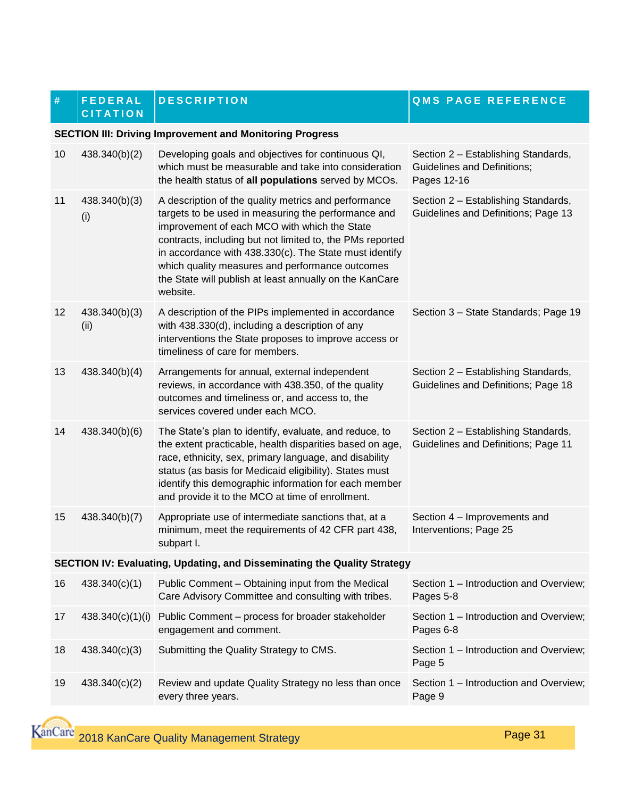#### **# F E D E R A L C I T A T I O N**

**SECTION III: Driving Improvement and Monitoring Progress**

**DESCRIPTION QMS PAGE REFERENCE** 

#### 10 438.340(b)(2) Developing goals and objectives for continuous QI, which must be measurable and take into consideration the health status of **all populations** served by MCOs. Section 2 – Establishing Standards, Guidelines and Definitions; Pages 12-16 11 438.340(b)(3) (i) A description of the quality metrics and performance targets to be used in measuring the performance and improvement of each MCO with which the State contracts, including but not limited to, the PMs reported in accordance with 438.330(c). The State must identify which quality measures and performance outcomes the State will publish at least annually on the KanCare website. Section 2 – Establishing Standards, Guidelines and Definitions; Page 13 12 438.340(b)(3) (ii) A description of the PIPs implemented in accordance with 438.330(d), including a description of any interventions the State proposes to improve access or timeliness of care for members. Section 3 – State Standards; Page 19 13 438.340(b)(4) Arrangements for annual, external independent reviews, in accordance with 438.350, of the quality outcomes and timeliness or, and access to, the services covered under each MCO. Section 2 – Establishing Standards, Guidelines and Definitions; Page 18 14 438.340(b)(6) The State's plan to identify, evaluate, and reduce, to the extent practicable, health disparities based on age, race, ethnicity, sex, primary language, and disability status (as basis for Medicaid eligibility). States must identify this demographic information for each member and provide it to the MCO at time of enrollment. Section 2 – Establishing Standards, Guidelines and Definitions; Page 11 15 438.340(b)(7) Appropriate use of intermediate sanctions that, at a minimum, meet the requirements of 42 CFR part 438, subpart I. Section 4 – Improvements and Interventions; Page 25 **SECTION IV: Evaluating, Updating, and Disseminating the Quality Strategy** 16 438.340(c)(1) Public Comment – Obtaining input from the Medical Care Advisory Committee and consulting with tribes. Section 1 – Introduction and Overview; Pages 5-8 17 438.340(c)(1)(i) Public Comment – process for broader stakeholder engagement and comment. Section 1 – Introduction and Overview; Pages 6-8 18 438.340(c)(3) Submitting the Quality Strategy to CMS. Section 1 – Introduction and Overview; Page 5 19 438.340(c)(2) Review and update Quality Strategy no less than once Section 1 – Introduction and Overview;

every three years.

Page 9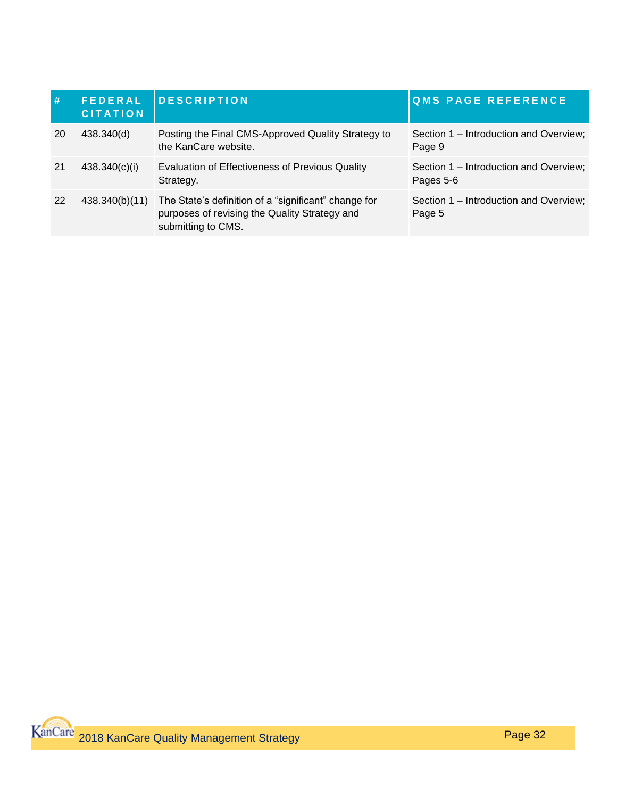| #   | <b>FEDERAL</b><br><b>CITATION</b> | <b>DESCRIPTION</b>                                                                                                          | <b>QMS PAGE REFERENCE</b>                           |
|-----|-----------------------------------|-----------------------------------------------------------------------------------------------------------------------------|-----------------------------------------------------|
| -20 | 438.340(d)                        | Posting the Final CMS-Approved Quality Strategy to<br>the KanCare website.                                                  | Section 1 – Introduction and Overview;<br>Page 9    |
| -21 | 438.340(c)(i)                     | Evaluation of Effectiveness of Previous Quality<br>Strategy.                                                                | Section 1 – Introduction and Overview;<br>Pages 5-6 |
| 22  | 438.340(b)(11)                    | The State's definition of a "significant" change for<br>purposes of revising the Quality Strategy and<br>submitting to CMS. | Section 1 – Introduction and Overview;<br>Page 5    |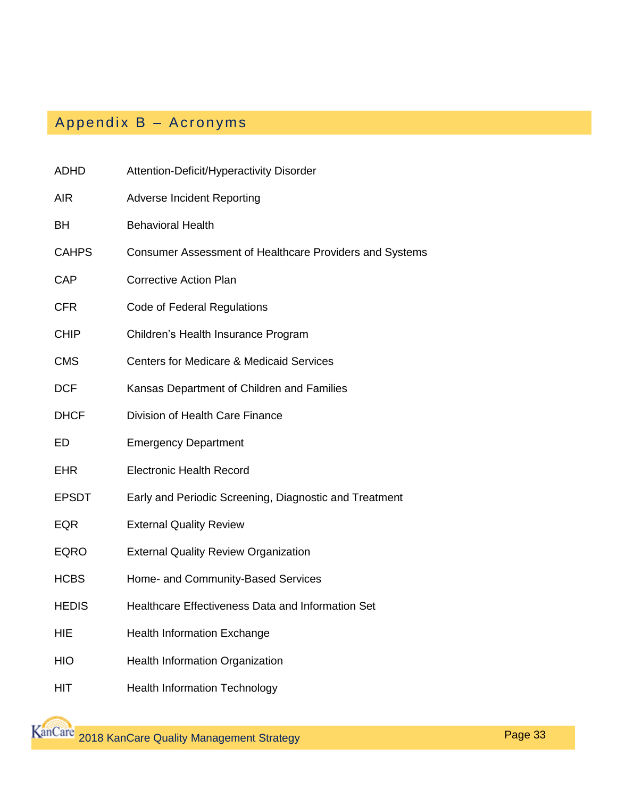# Appendix B – Acronyms

| <b>ADHD</b>  | Attention-Deficit/Hyperactivity Disorder                |
|--------------|---------------------------------------------------------|
| <b>AIR</b>   | <b>Adverse Incident Reporting</b>                       |
| BH           | <b>Behavioral Health</b>                                |
| <b>CAHPS</b> | Consumer Assessment of Healthcare Providers and Systems |
| <b>CAP</b>   | <b>Corrective Action Plan</b>                           |
| <b>CFR</b>   | Code of Federal Regulations                             |
| <b>CHIP</b>  | Children's Health Insurance Program                     |
| <b>CMS</b>   | <b>Centers for Medicare &amp; Medicaid Services</b>     |
| <b>DCF</b>   | Kansas Department of Children and Families              |
| <b>DHCF</b>  | Division of Health Care Finance                         |
| ED           | <b>Emergency Department</b>                             |
| <b>EHR</b>   | <b>Electronic Health Record</b>                         |
| <b>EPSDT</b> | Early and Periodic Screening, Diagnostic and Treatment  |
| <b>EQR</b>   | <b>External Quality Review</b>                          |
| <b>EQRO</b>  | <b>External Quality Review Organization</b>             |
| <b>HCBS</b>  | Home- and Community-Based Services                      |
| <b>HEDIS</b> | Healthcare Effectiveness Data and Information Set       |
| HIE          | <b>Health Information Exchange</b>                      |
| <b>HIO</b>   | <b>Health Information Organization</b>                  |
| HIT          | <b>Health Information Technology</b>                    |

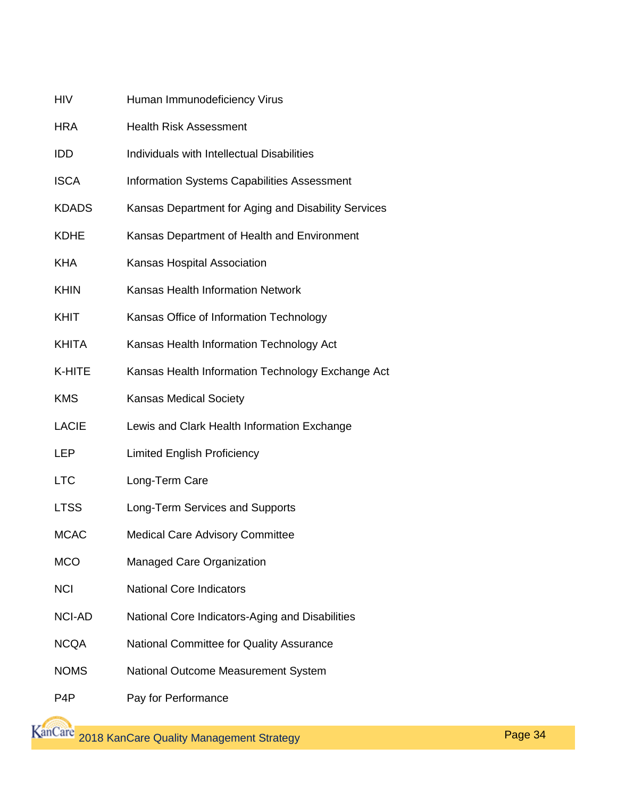| HIV           | Human Immunodeficiency Virus                        |
|---------------|-----------------------------------------------------|
| <b>HRA</b>    | <b>Health Risk Assessment</b>                       |
| IDD           | Individuals with Intellectual Disabilities          |
| <b>ISCA</b>   | <b>Information Systems Capabilities Assessment</b>  |
| <b>KDADS</b>  | Kansas Department for Aging and Disability Services |
| <b>KDHE</b>   | Kansas Department of Health and Environment         |
| <b>KHA</b>    | Kansas Hospital Association                         |
| <b>KHIN</b>   | Kansas Health Information Network                   |
| KHIT          | Kansas Office of Information Technology             |
| <b>KHITA</b>  | Kansas Health Information Technology Act            |
| K-HITE        | Kansas Health Information Technology Exchange Act   |
| <b>KMS</b>    | <b>Kansas Medical Society</b>                       |
| <b>LACIE</b>  | Lewis and Clark Health Information Exchange         |
| LEP           | <b>Limited English Proficiency</b>                  |
| <b>LTC</b>    | Long-Term Care                                      |
| <b>LTSS</b>   | Long-Term Services and Supports                     |
| <b>MCAC</b>   | <b>Medical Care Advisory Committee</b>              |
| <b>MCO</b>    | Managed Care Organization                           |
| <b>NCI</b>    | <b>National Core Indicators</b>                     |
| <b>NCI-AD</b> | National Core Indicators-Aging and Disabilities     |
| <b>NCQA</b>   | National Committee for Quality Assurance            |
| <b>NOMS</b>   | National Outcome Measurement System                 |
| P4P           | Pay for Performance                                 |

**KanCare** 2018 KanCare Quality Management Strategy **Page 34**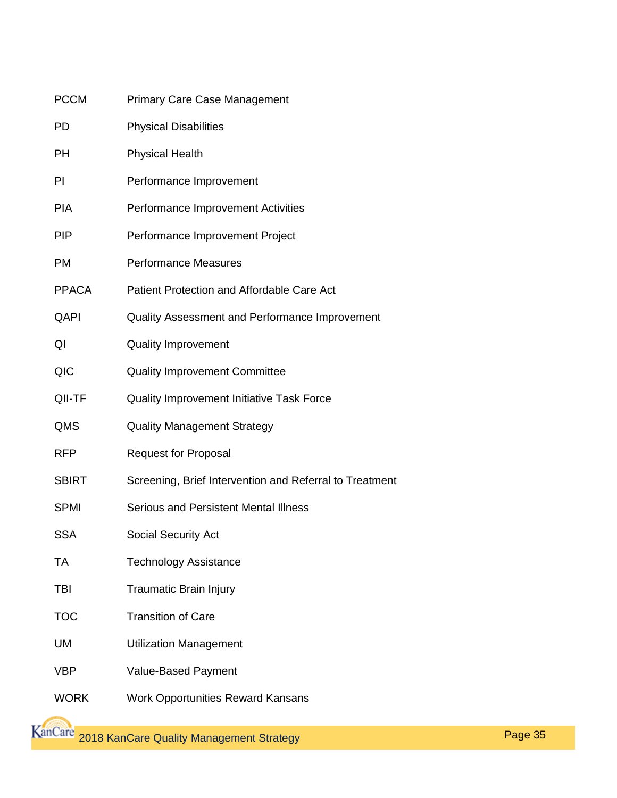| <b>PCCM</b>  | <b>Primary Care Case Management</b>                     |
|--------------|---------------------------------------------------------|
| <b>PD</b>    | <b>Physical Disabilities</b>                            |
| PH           | <b>Physical Health</b>                                  |
| PI           | Performance Improvement                                 |
| <b>PIA</b>   | Performance Improvement Activities                      |
| <b>PIP</b>   | Performance Improvement Project                         |
| <b>PM</b>    | <b>Performance Measures</b>                             |
| <b>PPACA</b> | Patient Protection and Affordable Care Act              |
| QAPI         | Quality Assessment and Performance Improvement          |
| QI           | <b>Quality Improvement</b>                              |
| QIC          | <b>Quality Improvement Committee</b>                    |
| QII-TF       | Quality Improvement Initiative Task Force               |
| QMS          | <b>Quality Management Strategy</b>                      |
| <b>RFP</b>   | <b>Request for Proposal</b>                             |
| <b>SBIRT</b> | Screening, Brief Intervention and Referral to Treatment |
| <b>SPMI</b>  | <b>Serious and Persistent Mental Illness</b>            |
| <b>SSA</b>   | <b>Social Security Act</b>                              |
| <b>TA</b>    | <b>Technology Assistance</b>                            |
| TBI          | <b>Traumatic Brain Injury</b>                           |
| <b>TOC</b>   | <b>Transition of Care</b>                               |
| UM           | <b>Utilization Management</b>                           |
| <b>VBP</b>   | Value-Based Payment                                     |
| <b>WORK</b>  | <b>Work Opportunities Reward Kansans</b>                |
|              |                                                         |

**KanCare**<br>2018 KanCare Quality Management Strategy **Page 35**